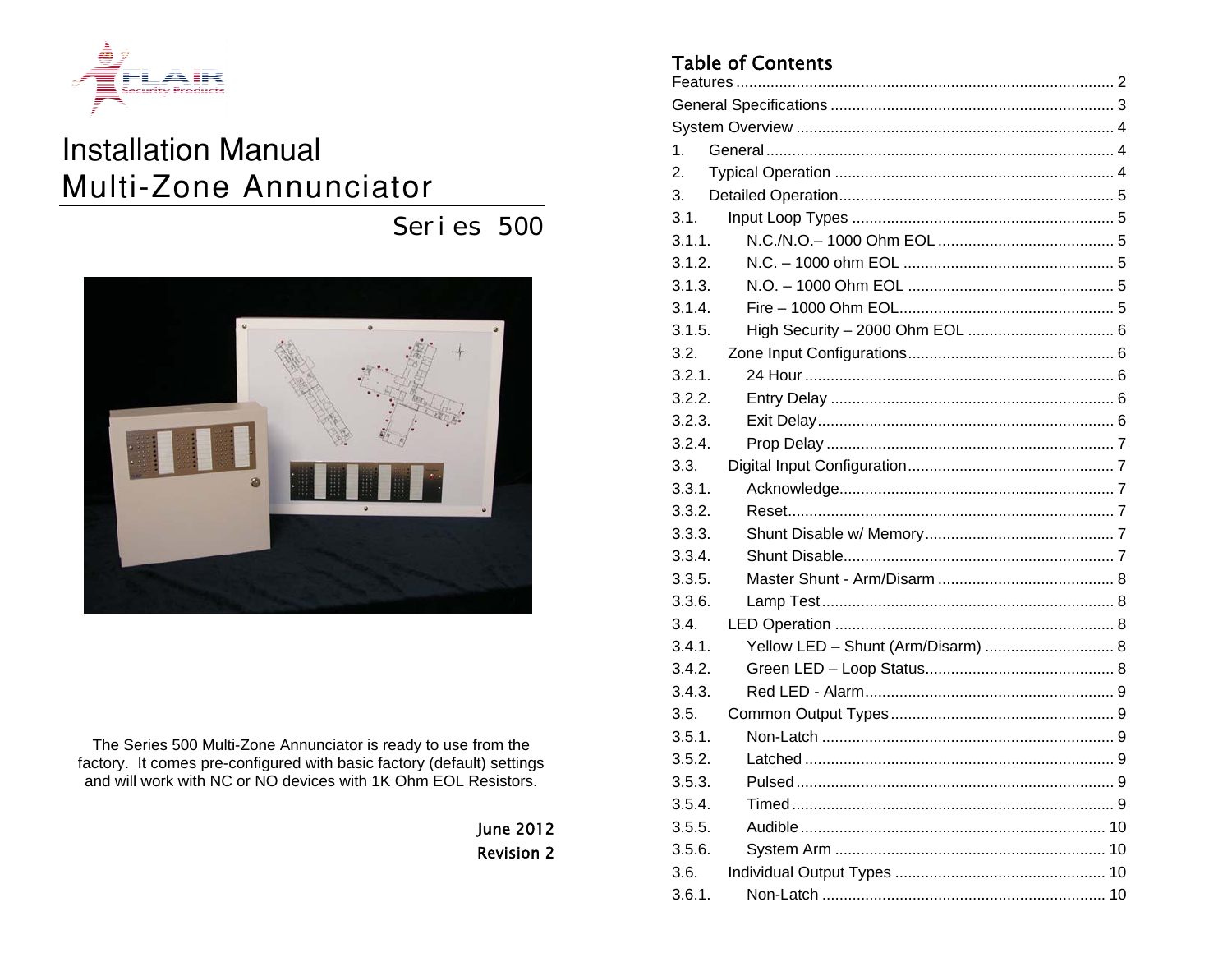

# **Installation Manual** Multi-Zone Annunciator

Series 500



The Series 500 Multi-Zone Annunciator is ready to use from the factory. It comes pre-configured with basic factory (default) settings and will work with NC or NO devices with 1K Ohm EOL Resistors.

> **June 2012 Revision 2**

## **Table of Contents**

| 1.                                           |  |  |  |  |  |  |  |
|----------------------------------------------|--|--|--|--|--|--|--|
| 2.                                           |  |  |  |  |  |  |  |
| 3.                                           |  |  |  |  |  |  |  |
| 3.1.                                         |  |  |  |  |  |  |  |
| 3.1.1.                                       |  |  |  |  |  |  |  |
| 3.1.2.                                       |  |  |  |  |  |  |  |
| 3.1.3.                                       |  |  |  |  |  |  |  |
| 3.1.4.                                       |  |  |  |  |  |  |  |
| 3.1.5.                                       |  |  |  |  |  |  |  |
| 3.2.                                         |  |  |  |  |  |  |  |
| 3.2.1.                                       |  |  |  |  |  |  |  |
| 3.2.2.                                       |  |  |  |  |  |  |  |
| 3.2.3.                                       |  |  |  |  |  |  |  |
| 3.2.4.                                       |  |  |  |  |  |  |  |
| 3.3.                                         |  |  |  |  |  |  |  |
| 3.3.1.                                       |  |  |  |  |  |  |  |
| 3.3.2.                                       |  |  |  |  |  |  |  |
| 3.3.3.                                       |  |  |  |  |  |  |  |
| 3.3.4.                                       |  |  |  |  |  |  |  |
| 3.3.5.                                       |  |  |  |  |  |  |  |
| 3.3.6.                                       |  |  |  |  |  |  |  |
| 3.4.                                         |  |  |  |  |  |  |  |
| Yellow LED - Shunt (Arm/Disarm)  8<br>3.4.1. |  |  |  |  |  |  |  |
| 3.4.2.                                       |  |  |  |  |  |  |  |
| 3.4.3.                                       |  |  |  |  |  |  |  |
| 3.5.                                         |  |  |  |  |  |  |  |
| 3.5.1.                                       |  |  |  |  |  |  |  |
| 3.5.2.                                       |  |  |  |  |  |  |  |
| 3.5.3.                                       |  |  |  |  |  |  |  |
| 3.5.4.                                       |  |  |  |  |  |  |  |
| 3.5.5.                                       |  |  |  |  |  |  |  |
| 3.5.6.                                       |  |  |  |  |  |  |  |
| 3.6.                                         |  |  |  |  |  |  |  |
| 3.6.1.                                       |  |  |  |  |  |  |  |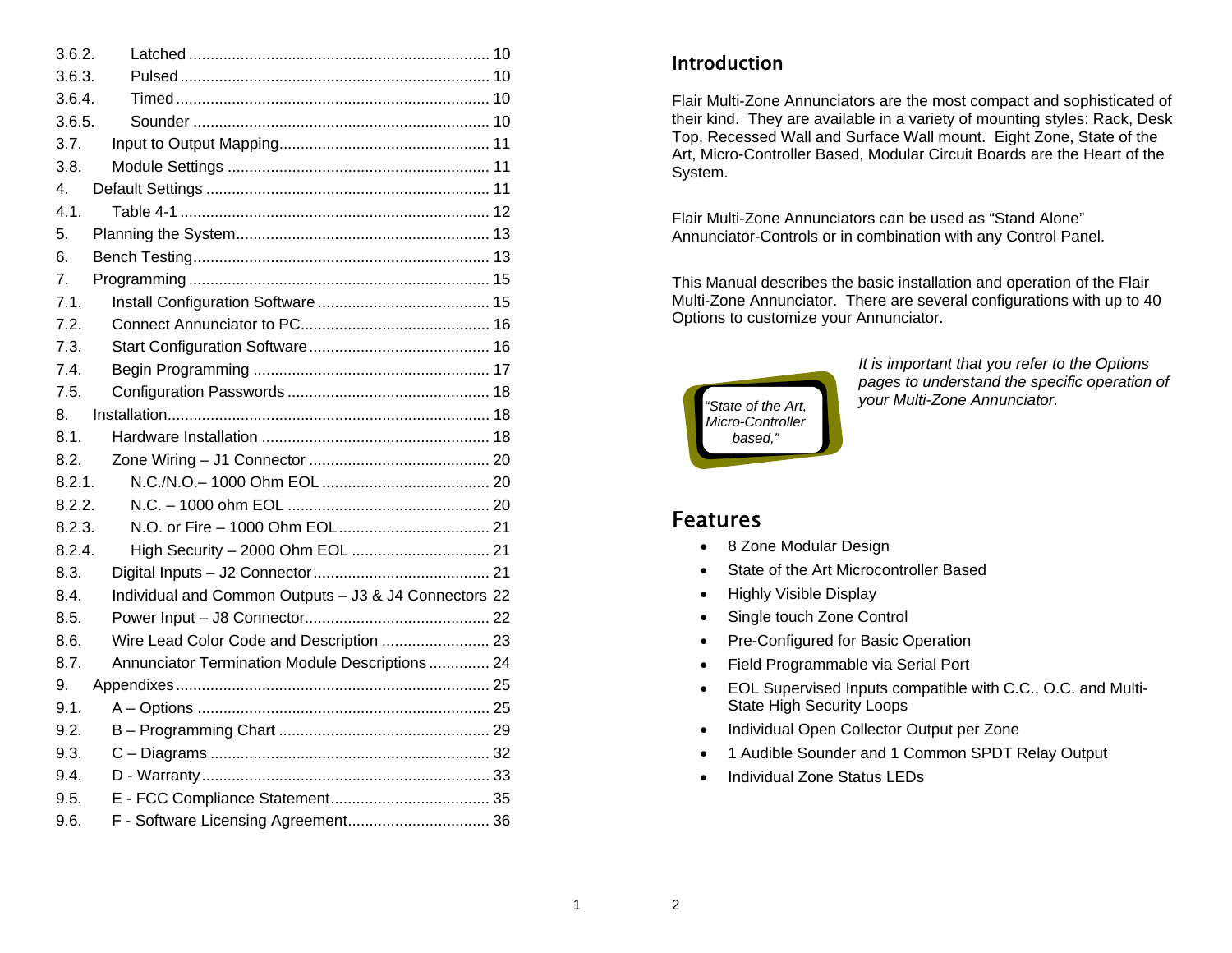| 3.6.2.                                                        |  |
|---------------------------------------------------------------|--|
| 3.6.3.                                                        |  |
| 3.6.4.                                                        |  |
| 3.6.5.                                                        |  |
| 3.7.                                                          |  |
| 3.8.                                                          |  |
| 4.                                                            |  |
| 4.1.                                                          |  |
| 5.                                                            |  |
| 6.                                                            |  |
| 7.                                                            |  |
| 7.1.                                                          |  |
| 7.2.                                                          |  |
| 7.3.                                                          |  |
| 7.4.                                                          |  |
| 7.5.                                                          |  |
| 8.                                                            |  |
| 8.1.                                                          |  |
| 8.2.                                                          |  |
| 8.2.1.                                                        |  |
| 8.2.2.                                                        |  |
| 8.2.3.                                                        |  |
| 8.2.4.                                                        |  |
| 8.3.                                                          |  |
| Individual and Common Outputs - J3 & J4 Connectors 22<br>8.4. |  |
| 8.5.                                                          |  |
| Wire Lead Color Code and Description  23<br>8.6.              |  |
| Annunciator Termination Module Descriptions 24<br>8.7.        |  |
| 9.                                                            |  |
| 9.1.                                                          |  |
| 9.2.                                                          |  |
| 9.3.                                                          |  |
| 9.4.                                                          |  |
| 9.5.                                                          |  |
| 9.6.                                                          |  |

### **Introduction**

Flair Multi-Zone Annunciators are the most compact and sophisticated of their kind. They are available in a variety of mounting styles: Rack, Desk Top, Recessed Wall and Surface Wall mount. Eight Zone, State of the Art, Micro-Controller Based, Modular Circuit Boards are the Heart of the System.

Flair Multi-Zone Annunciators can be used as "Stand Alone" Annunciator-Controls or in combination with any Control Panel.

This Manual describes the basic installation and operation of the Flair Multi-Zone Annunciator. There are several configurations with up to 40 Options to customize your Annunciator.



*It is important that you refer to the Options pages to understand the specific operation of your Multi-Zone Annunciator.* 

## Features

- 8 Zone Modular Design
- State of the Art Microcontroller Based
- Highly Visible Display
- Single touch Zone Control
- Pre-Configured for Basic Operation
- Field Programmable via Serial Port
- EOL Supervised Inputs compatible with C.C., O.C. and Multi-State High Security Loops
- Individual Open Collector Output per Zone
- 1 Audible Sounder and 1 Common SPDT Relay Output
- Individual Zone Status LEDs

2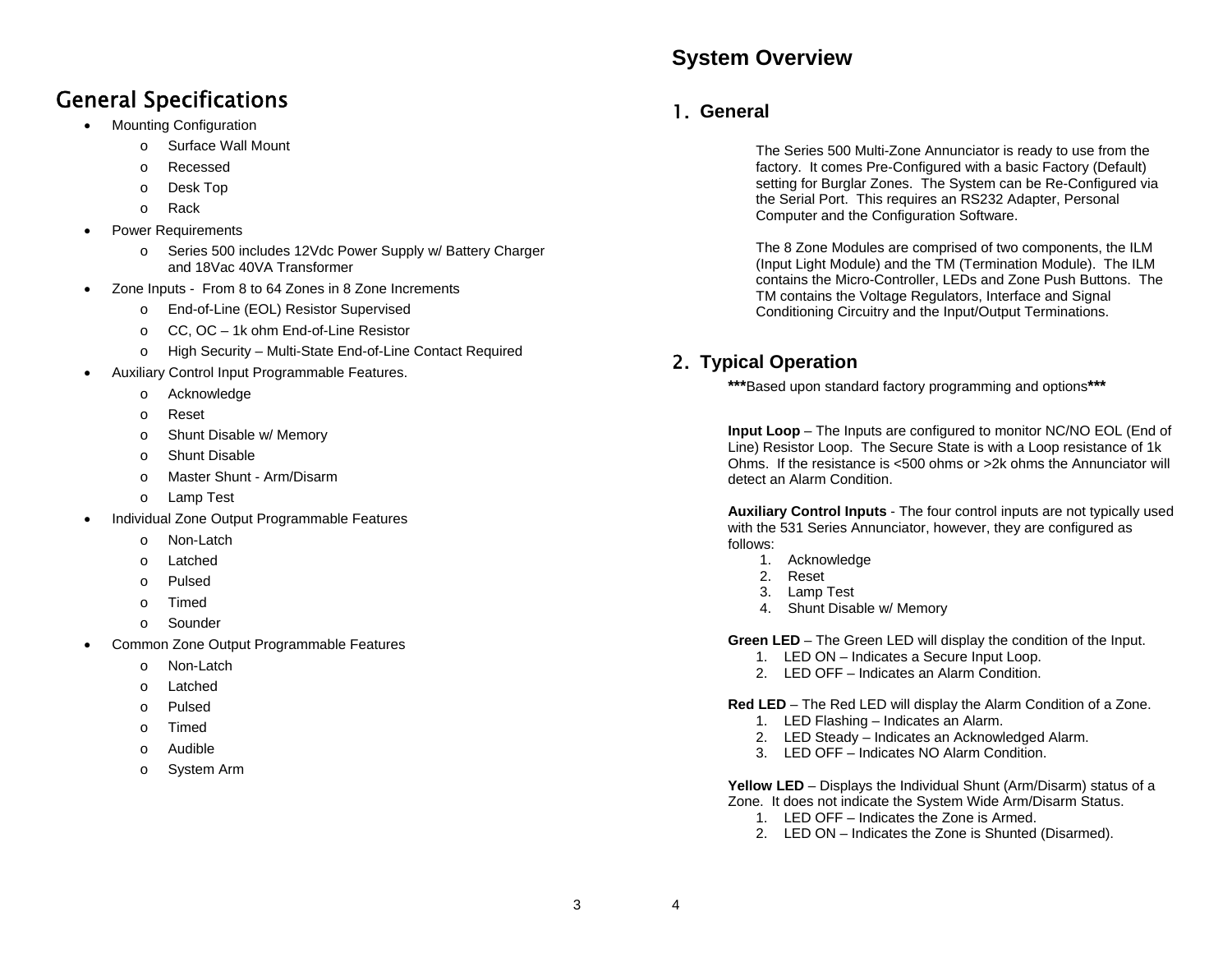## **System Overview**

# General Specifications

- Mounting Configuration
	- o Surface Wall Mount
	- o Recessed
	- <sup>o</sup> Desk Top
	- o Rack
- Power Requirements
	- <sup>o</sup> Series 500 includes 12Vdc Power Supply w/ Battery Charger and 18Vac 40VA Transformer
- Zone Inputs From 8 to 64 Zones in 8 Zone Increments
	- <sup>o</sup> End-of-Line (EOL) Resistor Supervised
	- <sup>o</sup> CC, OC 1k ohm End-of-Line Resistor
	- <sup>o</sup> High Security Multi-State End-of-Line Contact Required
- Auxiliary Control Input Programmable Features.
	- <sup>o</sup> Acknowledge
	- o Reset
	- <sup>o</sup> Shunt Disable w/ Memory
	- o Shunt Disable
	- o Master Shunt Arm/Disarm
	- <sup>o</sup> Lamp Test
- Individual Zone Output Programmable Features
	- o Non-Latch
	- o Latched
	- o Pulsed
	- o Timed
	- o Sounder
- Common Zone Output Programmable Features
	- o Non-Latch
	- o Latched
	- o Pulsed
	- o Timed
	- o Audible
	- <sup>o</sup> System Arm

## 1. **General**

The Series 500 Multi-Zone Annunciator is ready to use from the factory. It comes Pre-Configured with a basic Factory (Default) setting for Burglar Zones. The System can be Re-Configured via the Serial Port. This requires an RS232 Adapter, Personal Computer and the Configuration Software.

The 8 Zone Modules are comprised of two components, the ILM (Input Light Module) and the TM (Termination Module). The ILM contains the Micro-Controller, LEDs and Zone Push Buttons. The TM contains the Voltage Regulators, Interface and Signal Conditioning Circuitry and the Input/Output Terminations.

## 2. **Typical Operation**

**\*\*\***Based upon standard factory programming and options**\*\*\***

**Input Loop** – The Inputs are configured to monitor NC/NO EOL (End of Line) Resistor Loop. The Secure State is with a Loop resistance of 1k Ohms. If the resistance is <500 ohms or >2k ohms the Annunciator will detect an Alarm Condition.

**Auxiliary Control Inputs** - The four control inputs are not typically used with the 531 Series Annunciator, however, they are configured as follows:

- 1. Acknowledge
- 2. Reset
- 3. Lamp Test
- 4. Shunt Disable w/ Memory

**Green LED** – The Green LED will display the condition of the Input.

- 1. LED ON Indicates a Secure Input Loop.
- 2. LED OFF Indicates an Alarm Condition.

**Red LED** – The Red LED will display the Alarm Condition of a Zone.

- 1. LED Flashing Indicates an Alarm.
- 2. LED Steady Indicates an Acknowledged Alarm.
- 3. LED OFF Indicates NO Alarm Condition.

**Yellow LED** – Displays the Individual Shunt (Arm/Disarm) status of a Zone. It does not indicate the System Wide Arm/Disarm Status.

- 1. LED OFF Indicates the Zone is Armed.
- 2. LED ON Indicates the Zone is Shunted (Disarmed).

3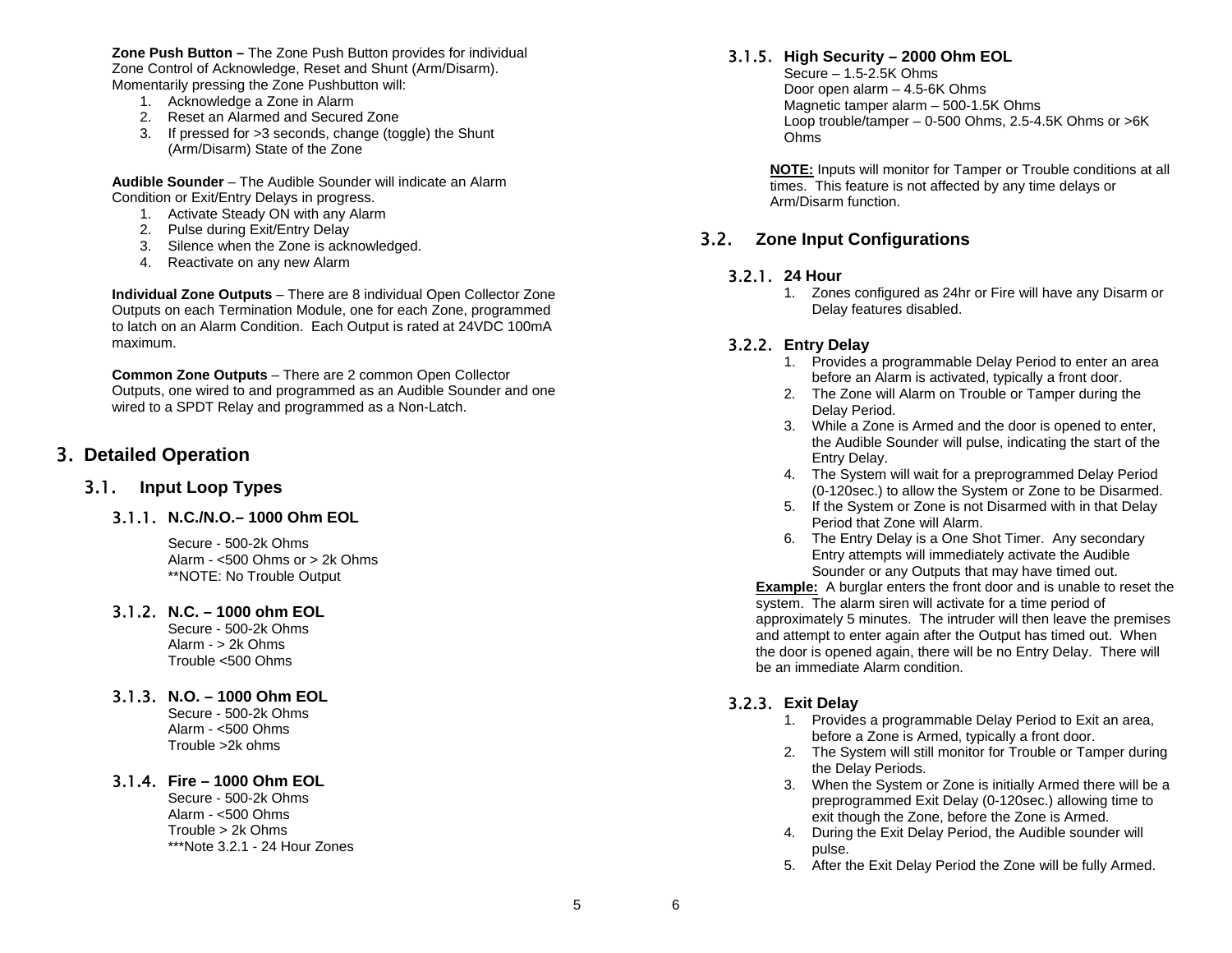**Zone Push Button –** The Zone Push Button provides for individual Zone Control of Acknowledge, Reset and Shunt (Arm/Disarm). Momentarily pressing the Zone Pushbutton will:

- 1. Acknowledge a Zone in Alarm
- 2. Reset an Alarmed and Secured Zone
- 3. If pressed for >3 seconds, change (toggle) the Shunt (Arm/Disarm) State of the Zone

**Audible Sounder** – The Audible Sounder will indicate an Alarm Condition or Exit/Entry Delays in progress.

- 1. Activate Steady ON with any Alarm
- 2. Pulse during Exit/Entry Delay
- 3. Silence when the Zone is acknowledged.
- 4. Reactivate on any new Alarm

**Individual Zone Outputs** – There are 8 individual Open Collector Zone Outputs on each Termination Module, one for each Zone, programmed to latch on an Alarm Condition. Each Output is rated at 24VDC 100mA maximum.

**Common Zone Outputs** – There are 2 common Open Collector Outputs, one wired to and programmed as an Audible Sounder and one wired to a SPDT Relay and programmed as a Non-Latch.

### 3. **Detailed Operation**

#### 3.1. **Input Loop Types**

#### 3.1.1. **N.C./N.O.– 1000 Ohm EOL**

Secure - 500-2k Ohms Alarm - <500 Ohms or > 2k Ohms \*\*NOTE: No Trouble Output

#### 3.1.2. **N.C. – 1000 ohm EOL**

Secure - 500-2k Ohms Alarm - > 2k Ohms Trouble <500 Ohms

3.1.3. **N.O. – 1000 Ohm EOL** 

Secure - 500-2k Ohms Alarm - <500 Ohms Trouble >2k ohms

#### 3.1.4. **Fire – 1000 Ohm EOL**

Secure - 500-2k Ohms Alarm - <500 Ohms Trouble > 2k Ohms \*\*\*Note 3.2.1 - 24 Hour Zones

#### 3.1.5. **High Security – 2000 Ohm EOL**

Secure – 1.5-2.5K Ohms Door open alarm – 4.5-6K Ohms Magnetic tamper alarm – 500-1.5K Ohms Loop trouble/tamper – 0-500 Ohms, 2.5-4.5K Ohms or >6K Ohms

**NOTE:** Inputs will monitor for Tamper or Trouble conditions at all times. This feature is not affected by any time delays or Arm/Disarm function.

### 3.2. **Zone Input Configurations**

#### 3.2.1. **24 Hour**

1. Zones configured as 24hr or Fire will have any Disarm or Delay features disabled.

#### 3.2.2. **Entry Delay**

- 1. Provides a programmable Delay Period to enter an area before an Alarm is activated, typically a front door.
- 2. The Zone will Alarm on Trouble or Tamper during the Delay Period.
- 3. While a Zone is Armed and the door is opened to enter, the Audible Sounder will pulse, indicating the start of the Entry Delay.
- 4. The System will wait for a preprogrammed Delay Period (0-120sec.) to allow the System or Zone to be Disarmed.
- 5. If the System or Zone is not Disarmed with in that Delay Period that Zone will Alarm.
- 6. The Entry Delay is a One Shot Timer. Any secondary Entry attempts will immediately activate the Audible Sounder or any Outputs that may have timed out.

**Example:** A burglar enters the front door and is unable to reset the system. The alarm siren will activate for a time period of approximately 5 minutes. The intruder will then leave the premises and attempt to enter again after the Output has timed out. When the door is opened again, there will be no Entry Delay. There will be an immediate Alarm condition.

#### 3.2.3. **Exit Delay**

- 1. Provides a programmable Delay Period to Exit an area, before a Zone is Armed, typically a front door.
- 2. The System will still monitor for Trouble or Tamper during the Delay Periods.
- 3. When the System or Zone is initially Armed there will be a preprogrammed Exit Delay (0-120sec.) allowing time to exit though the Zone, before the Zone is Armed.
- 4. During the Exit Delay Period, the Audible sounder will pulse.
- 5. After the Exit Delay Period the Zone will be fully Armed.

6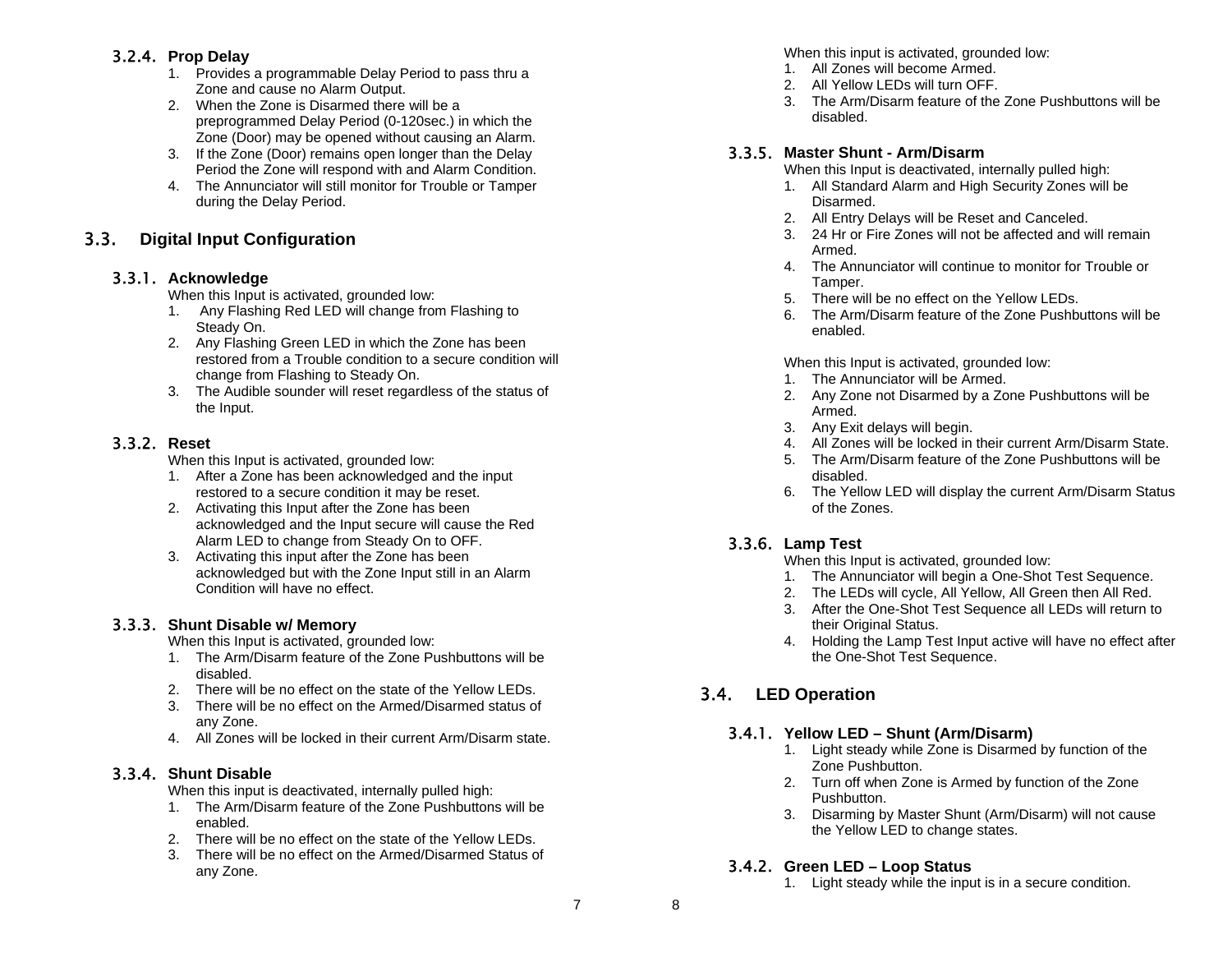### 3.2.4. **Prop Delay**

- 1. Provides a programmable Delay Period to pass thru a Zone and cause no Alarm Output.
- 2. When the Zone is Disarmed there will be a preprogrammed Delay Period (0-120sec.) in which the Zone (Door) may be opened without causing an Alarm.
- 3. If the Zone (Door) remains open longer than the Delay Period the Zone will respond with and Alarm Condition.
- 4. The Annunciator will still monitor for Trouble or Tamper during the Delay Period.

### 3.3. **Digital Input Configuration**

### 3.3.1. **Acknowledge**

When this Input is activated, grounded low:

- 1. Any Flashing Red LED will change from Flashing to Steady On.
- 2. Any Flashing Green LED in which the Zone has been restored from a Trouble condition to a secure condition will change from Flashing to Steady On.
- 3. The Audible sounder will reset regardless of the status of the Input.

### 3.3.2. **Reset**

When this Input is activated, grounded low:

- 1. After a Zone has been acknowledged and the input restored to a secure condition it may be reset.
- 2. Activating this Input after the Zone has been acknowledged and the Input secure will cause the Red Alarm LED to change from Steady On to OFF.
- 3. Activating this input after the Zone has been acknowledged but with the Zone Input still in an Alarm Condition will have no effect.

### 3.3.3. **Shunt Disable w/ Memory**

When this Input is activated, grounded low:

- 1. The Arm/Disarm feature of the Zone Pushbuttons will be disabled.
- 2. There will be no effect on the state of the Yellow LEDs.
- 3. There will be no effect on the Armed/Disarmed status of any Zone.
- 4. All Zones will be locked in their current Arm/Disarm state.

### 3.3.4. **Shunt Disable**

When this input is deactivated, internally pulled high:

- 1. The Arm/Disarm feature of the Zone Pushbuttons will be enabled.
- 2. There will be no effect on the state of the Yellow LEDs.
- 3. There will be no effect on the Armed/Disarmed Status of any Zone.

When this input is activated, grounded low:

- 1. All Zones will become Armed.
- 2. All Yellow LEDs will turn OFF.
- 3. The Arm/Disarm feature of the Zone Pushbuttons will be disabled.

### 3.3.5. **Master Shunt - Arm/Disarm**

When this Input is deactivated, internally pulled high:

- 1. All Standard Alarm and High Security Zones will be Disarmed.
- 2. All Entry Delays will be Reset and Canceled.
- 3. 24 Hr or Fire Zones will not be affected and will remain Armed.
- 4. The Annunciator will continue to monitor for Trouble or Tamper.
- 5. There will be no effect on the Yellow LEDs.
- 6. The Arm/Disarm feature of the Zone Pushbuttons will be enabled.

When this Input is activated, grounded low:

- 1. The Annunciator will be Armed.
- 2. Any Zone not Disarmed by a Zone Pushbuttons will be Armed.
- 3. Any Exit delays will begin.
- 4. All Zones will be locked in their current Arm/Disarm State.
- 5. The Arm/Disarm feature of the Zone Pushbuttons will be disabled.
- 6. The Yellow LED will display the current Arm/Disarm Status of the Zones.

### 3.3.6. **Lamp Test**

When this Input is activated, grounded low:

- 1. The Annunciator will begin a One-Shot Test Sequence.
- 2. The LEDs will cycle, All Yellow, All Green then All Red.
- 3. After the One-Shot Test Sequence all LEDs will return to their Original Status.
- 4. Holding the Lamp Test Input active will have no effect after the One-Shot Test Sequence.

## 3.4. **LED Operation**

### 3.4.1. **Yellow LED – Shunt (Arm/Disarm)**

- 1. Light steady while Zone is Disarmed by function of the Zone Pushbutton.
- 2. Turn off when Zone is Armed by function of the Zone Pushbutton.
- 3. Disarming by Master Shunt (Arm/Disarm) will not cause the Yellow LED to change states.

### 3.4.2. **Green LED – Loop Status**

1. Light steady while the input is in a secure condition.

8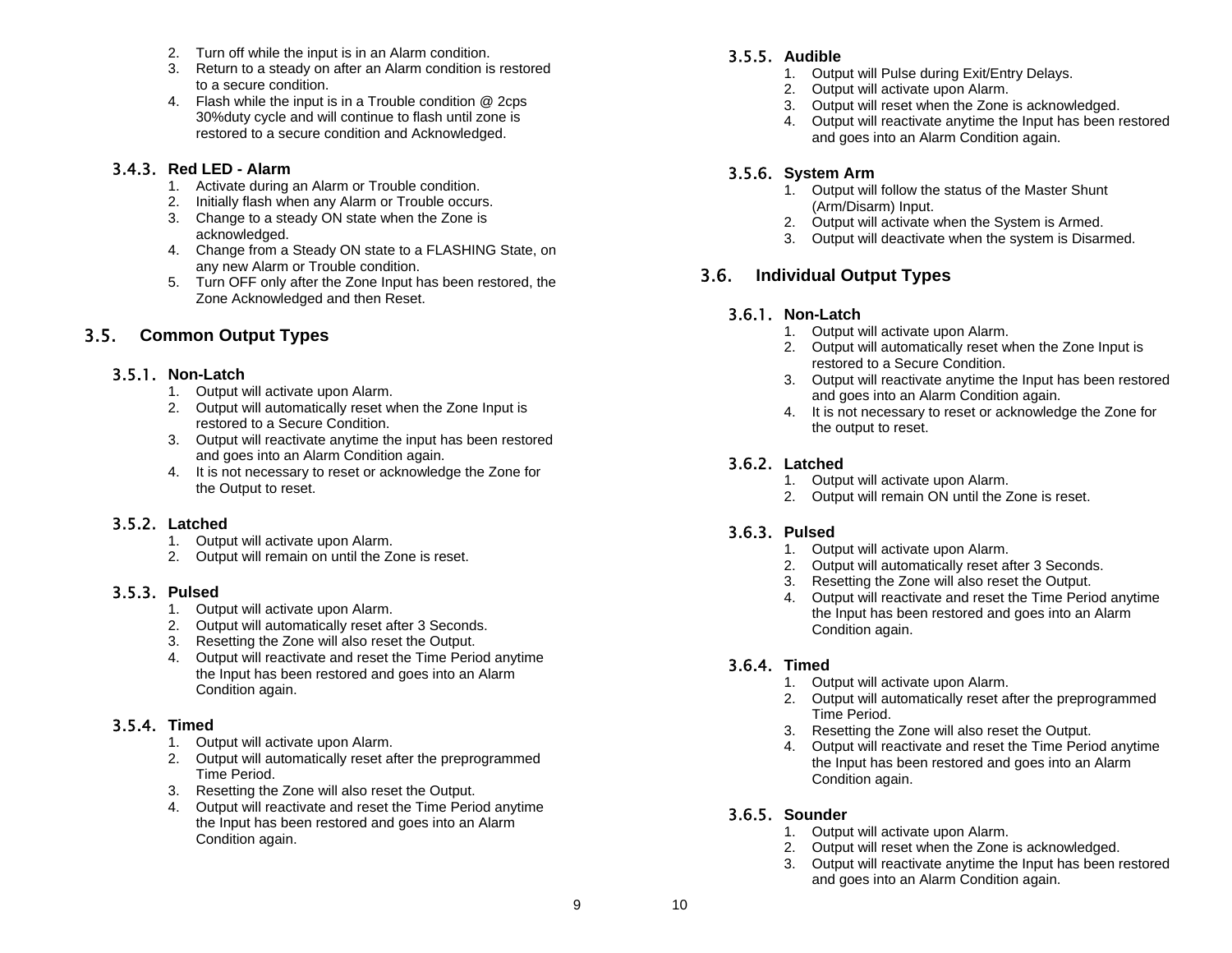- 2. Turn off while the input is in an Alarm condition.
- 3. Return to a steady on after an Alarm condition is restored to a secure condition.
- 4. Flash while the input is in a Trouble condition @ 2cps 30%duty cycle and will continue to flash until zone is restored to a secure condition and Acknowledged.

#### 3.4.3. **Red LED - Alarm**

- 1. Activate during an Alarm or Trouble condition.
- 2. Initially flash when any Alarm or Trouble occurs.
- 3. Change to a steady ON state when the Zone is acknowledged.
- 4. Change from a Steady ON state to a FLASHING State, on any new Alarm or Trouble condition.
- 5. Turn OFF only after the Zone Input has been restored, the Zone Acknowledged and then Reset.

### 3.5. **Common Output Types**

### 3.5.1. **Non-Latch**

- 1. Output will activate upon Alarm.
- 2. Output will automatically reset when the Zone Input is restored to a Secure Condition.
- 3. Output will reactivate anytime the input has been restored and goes into an Alarm Condition again.
- 4. It is not necessary to reset or acknowledge the Zone for the Output to reset.

### 3.5.2. **Latched**

- 1. Output will activate upon Alarm.
- 2. Output will remain on until the Zone is reset.

### 3.5.3. **Pulsed**

- 1. Output will activate upon Alarm.
- 2. Output will automatically reset after 3 Seconds.
- 3. Resetting the Zone will also reset the Output.
- 4. Output will reactivate and reset the Time Period anytime the Input has been restored and goes into an Alarm Condition again.

### 3.5.4. **Timed**

- 1. Output will activate upon Alarm.
- 2. Output will automatically reset after the preprogrammed Time Period.
- 3. Resetting the Zone will also reset the Output.
- 4. Output will reactivate and reset the Time Period anytime the Input has been restored and goes into an Alarm Condition again.

### 3.5.5. **Audible**

- 1. Output will Pulse during Exit/Entry Delays.
- 2. Output will activate upon Alarm.
- 3. Output will reset when the Zone is acknowledged.
- 4. Output will reactivate anytime the Input has been restored and goes into an Alarm Condition again.

### 3.5.6. **System Arm**

- 1. Output will follow the status of the Master Shunt (Arm/Disarm) Input.
- 2. Output will activate when the System is Armed.
- 3. Output will deactivate when the system is Disarmed.

### 3.6. **Individual Output Types**

### 3.6.1. **Non-Latch**

- 1. Output will activate upon Alarm.
- 2. Output will automatically reset when the Zone Input is restored to a Secure Condition.
- 3. Output will reactivate anytime the Input has been restored and goes into an Alarm Condition again.
- 4. It is not necessary to reset or acknowledge the Zone for the output to reset.

### 3.6.2. **Latched**

- 1. Output will activate upon Alarm.
- 2. Output will remain ON until the Zone is reset.

### 3.6.3. **Pulsed**

- 1. Output will activate upon Alarm.
- 2. Output will automatically reset after 3 Seconds.
- 3. Resetting the Zone will also reset the Output.
- 4. Output will reactivate and reset the Time Period anytime the Input has been restored and goes into an Alarm Condition again.

### 3.6.4. **Timed**

- 1. Output will activate upon Alarm.
- 2. Output will automatically reset after the preprogrammed Time Period.
- 3. Resetting the Zone will also reset the Output.
- 4. Output will reactivate and reset the Time Period anytime the Input has been restored and goes into an Alarm Condition again.
- 3.6.5. **Sounder** 
	- 1. Output will activate upon Alarm.
	- 2. Output will reset when the Zone is acknowledged.
	- 3. Output will reactivate anytime the Input has been restored and goes into an Alarm Condition again.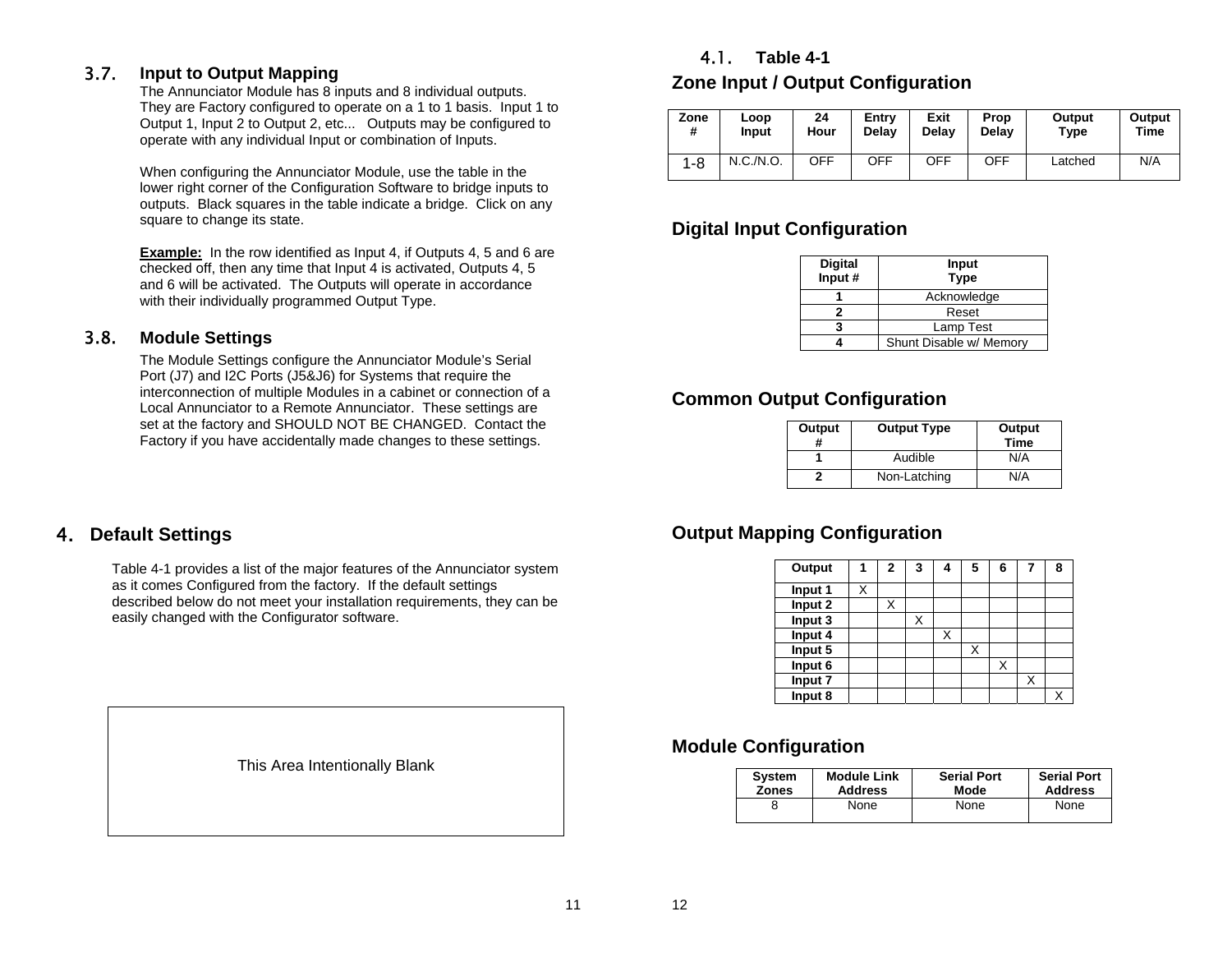### 3.7. **Input to Output Mapping**

The Annunciator Module has 8 inputs and 8 individual outputs. They are Factory configured to operate on a 1 to 1 basis. Input 1 to Output 1, Input 2 to Output 2, etc... Outputs may be configured to operate with any individual Input or combination of Inputs.

When configuring the Annunciator Module, use the table in the lower right corner of the Configuration Software to bridge inputs to outputs. Black squares in the table indicate a bridge. Click on any square to change its state.

**Example:** In the row identified as Input 4, if Outputs 4, 5 and 6 are checked off, then any time that Input 4 is activated, Outputs 4, 5 and 6 will be activated. The Outputs will operate in accordance with their individually programmed Output Type.

### 3.8. **Module Settings**

The Module Settings configure the Annunciator Module's Serial Port (J7) and I2C Ports (J5&J6) for Systems that require the interconnection of multiple Modules in a cabinet or connection of a Local Annunciator to a Remote Annunciator. These settings are set at the factory and SHOULD NOT BE CHANGED. Contact the Factory if you have accidentally made changes to these settings.

### 4.1. **Table 4-1**

## **Zone Input / Output Configuration**

| Zone    | Loop      | 24         | Entry | Exit  | Prop       | Output  | Output |
|---------|-----------|------------|-------|-------|------------|---------|--------|
| #       | Input     | Hour       | Delav | Delav | Delav      | Type    | Time   |
| $1 - 8$ | N.C./N.O. | <b>OFF</b> | OFF   | OFF   | <b>OFF</b> | Latched |        |

### **Digital Input Configuration**

| <b>Digital</b><br>Input # | Input<br><b>Type</b>    |
|---------------------------|-------------------------|
|                           | Acknowledge             |
|                           | Reset                   |
|                           | Lamp Test               |
|                           | Shunt Disable w/ Memory |

### **Common Output Configuration**

| Output<br># | <b>Output Type</b> | Output<br><b>Time</b> |
|-------------|--------------------|-----------------------|
|             | Audible            | N/A                   |
|             | Non-Latching       | N/A                   |

### **Output Mapping Configuration**

| Output  |   | 2 | 3 | 4 | 5 | 6 |   | 8 |
|---------|---|---|---|---|---|---|---|---|
| Input 1 | X |   |   |   |   |   |   |   |
| Input 2 |   | X |   |   |   |   |   |   |
| Input 3 |   |   |   |   |   |   |   |   |
| Input 4 |   |   |   | Х |   |   |   |   |
| Input 5 |   |   |   |   | X |   |   |   |
| Input 6 |   |   |   |   |   | Χ |   |   |
| Input 7 |   |   |   |   |   |   | X |   |
| Input 8 |   |   |   |   |   |   |   |   |

### **Module Configuration**

| <b>System</b> | <b>Module Link</b> | <b>Serial Port</b> |      |
|---------------|--------------------|--------------------|------|
| <b>Zones</b>  | <b>Address</b>     | Mode               |      |
|               | None               | None               | None |

### 4. **Default Settings**

Table 4-1 provides a list of the major features of the Annunciator system as it comes Configured from the factory. If the default settings described below do not meet your installation requirements, they can be easily changed with the Configurator software.

This Area Intentionally Blank

12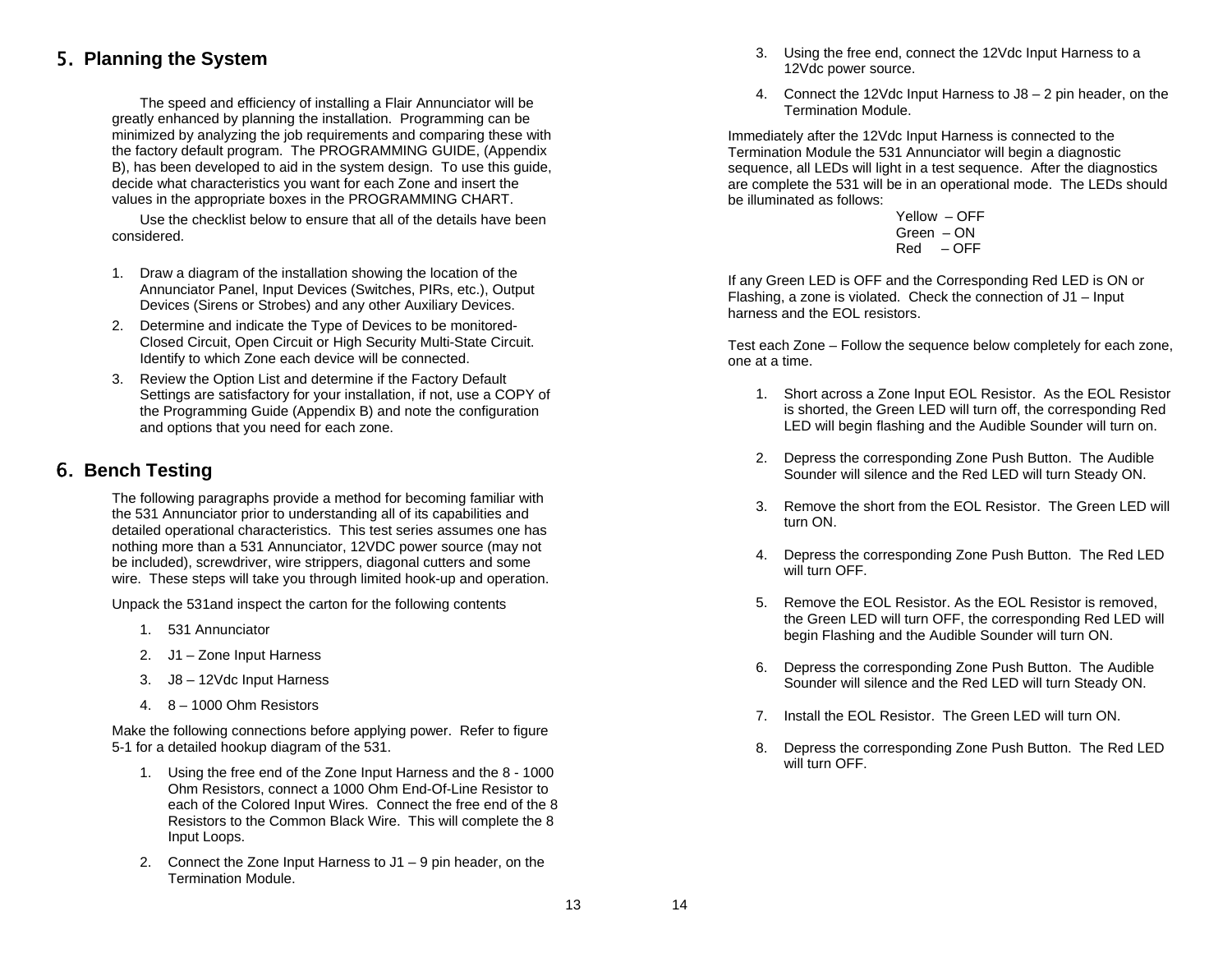### 5. **Planning the System**

The speed and efficiency of installing a Flair Annunciator will be greatly enhanced by planning the installation. Programming can be minimized by analyzing the job requirements and comparing these with the factory default program. The PROGRAMMING GUIDE, (Appendix B), has been developed to aid in the system design. To use this guide, decide what characteristics you want for each Zone and insert the values in the appropriate boxes in the PROGRAMMING CHART.

Use the checklist below to ensure that all of the details have been considered.

- 1. Draw a diagram of the installation showing the location of the Annunciator Panel, Input Devices (Switches, PIRs, etc.), Output Devices (Sirens or Strobes) and any other Auxiliary Devices.
- 2. Determine and indicate the Type of Devices to be monitored-Closed Circuit, Open Circuit or High Security Multi-State Circuit. Identify to which Zone each device will be connected.
- 3. Review the Option List and determine if the Factory Default Settings are satisfactory for your installation, if not, use a COPY of the Programming Guide (Appendix B) and note the configuration and options that you need for each zone.

### 6. **Bench Testing**

The following paragraphs provide a method for becoming familiar with the 531 Annunciator prior to understanding all of its capabilities and detailed operational characteristics. This test series assumes one has nothing more than a 531 Annunciator, 12VDC power source (may not be included), screwdriver, wire strippers, diagonal cutters and some wire. These steps will take you through limited hook-up and operation.

Unpack the 531and inspect the carton for the following contents

- 1. 531 Annunciator
- 2. J1 Zone Input Harness
- 3. J8 12Vdc Input Harness
- 4. 8 1000 Ohm Resistors

Make the following connections before applying power. Refer to figure 5-1 for a detailed hookup diagram of the 531.

- 1. Using the free end of the Zone Input Harness and the 8 1000 Ohm Resistors, connect a 1000 Ohm End-Of-Line Resistor to each of the Colored Input Wires. Connect the free end of the 8 Resistors to the Common Black Wire. This will complete the 8 Input Loops.
- 2. Connect the Zone Input Harness to J1 9 pin header, on the Termination Module.
- 3. Using the free end, connect the 12Vdc Input Harness to a 12Vdc power source.
- 4. Connect the 12Vdc Input Harness to J8 2 pin header, on the Termination Module.

Immediately after the 12Vdc Input Harness is connected to the Termination Module the 531 Annunciator will begin a diagnostic sequence, all LEDs will light in a test sequence. After the diagnostics are complete the 531 will be in an operational mode. The LEDs should be illuminated as follows:

 Yellow – OFF Green – ON Red – OFF

If any Green LED is OFF and the Corresponding Red LED is ON or Flashing, a zone is violated. Check the connection of J1 – Input harness and the EOL resistors.

Test each Zone – Follow the sequence below completely for each zone, one at a time.

- 1. Short across a Zone Input EOL Resistor. As the EOL Resistor is shorted, the Green LED will turn off, the corresponding Red LED will begin flashing and the Audible Sounder will turn on.
- 2. Depress the corresponding Zone Push Button. The Audible Sounder will silence and the Red LED will turn Steady ON.
- 3. Remove the short from the EOL Resistor. The Green LED will turn ON.
- 4. Depress the corresponding Zone Push Button. The Red LED will turn OFF.
- 5. Remove the EOL Resistor. As the EOL Resistor is removed, the Green LED will turn OFF, the corresponding Red LED will begin Flashing and the Audible Sounder will turn ON.
- 6. Depress the corresponding Zone Push Button. The Audible Sounder will silence and the Red LED will turn Steady ON.
- 7. Install the EOL Resistor. The Green LED will turn ON.
- 8. Depress the corresponding Zone Push Button. The Red LED will turn OFF.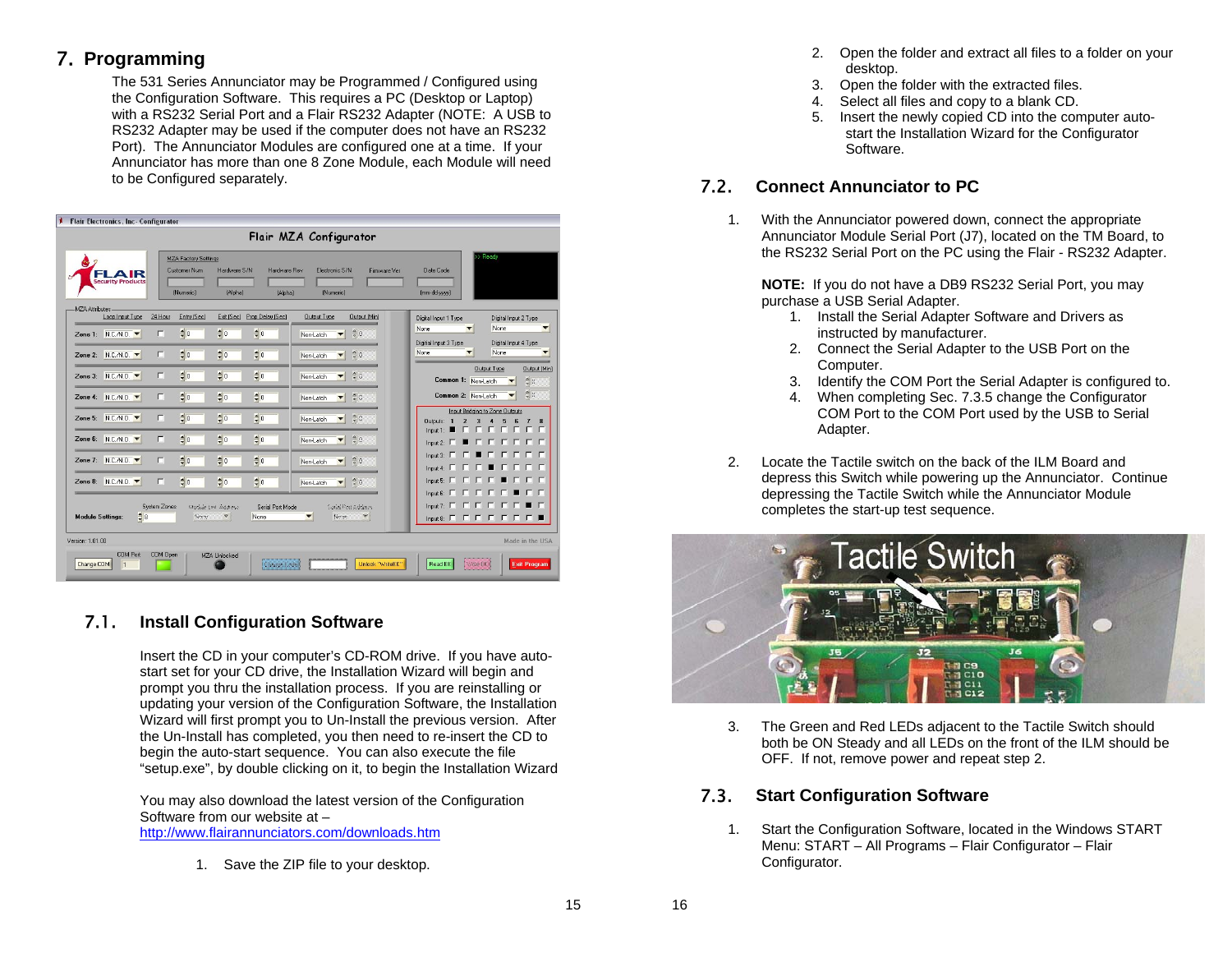## 7. **Programming**

The 531 Series Annunciator may be Programmed / Configured using the Configuration Software. This requires a PC (Desktop or Laptop) with a RS232 Serial Port and a Flair RS232 Adapter (NOTE: A USB to RS232 Adapter may be used if the computer does not have an RS232 Port). The Annunciator Modules are configured one at a time. If your Annunciator has more than one 8 Zone Module, each Module will need to be Configured separately.

|                                     | <b>Flair Electronics, Inc- Configurator</b> |              |                                                                 |                                             |                         |                                      |                                      |                                                  |                                                                                               |
|-------------------------------------|---------------------------------------------|--------------|-----------------------------------------------------------------|---------------------------------------------|-------------------------|--------------------------------------|--------------------------------------|--------------------------------------------------|-----------------------------------------------------------------------------------------------|
| Flair MZA Configurator              |                                             |              |                                                                 |                                             |                         |                                      |                                      |                                                  |                                                                                               |
|                                     | <b>Security Products</b>                    |              | <b>MZA Factory Settings</b><br><b>Customer Num</b><br>(Numeric) | Hardware S/N<br>[Alpha]                     | Hardware Rev<br>(Alpha) | Electronic S/N<br>(Numeric)          | Firmware Ver                         | Date Code<br>(mm-dd-yyyy)                        | > Ready                                                                                       |
| MZA Attributes-                     | Loop Input Type                             | 24 Hour      | Entry (Sec)                                                     | Exit (Sec) Prop Delay (Sec)                 |                         | Output Type                          | <b>Output (Min)</b>                  | Digital Input 1 Type                             | Digital Input 2 Type                                                                          |
|                                     | Zone 1: N.C./N.O.                           | г            | $\frac{4}{7}$ 0                                                 | $\updownarrow 0$<br>$\frac{4}{7}$ 0         |                         | Non-Latch<br>$\overline{\mathbf{v}}$ | $\hat{z}$ 0                          | None                                             | None<br>$\blacktriangledown$                                                                  |
|                                     | Zone 2: N.C./N.O. ▼                         | ┍            | $\frac{4}{3}$ 0                                                 | $\frac{4}{3}$ 0<br>$\frac{4}{3}$ 0          |                         | Non-Latch<br>$\overline{\mathbf{v}}$ | $\frac{4}{7}0$                       | Digitial Input 3 Type<br>None                    | Digital Input 4 Type<br>None<br>▼                                                             |
|                                     | Zone 3: N.C./N.O.                           | E            | $\frac{4}{7}$ 0                                                 | $\frac{4}{7}$ 0<br>$\frac{4}{7}$ 0          |                         | Non-Latch<br>$\blacktriangledown$    | $\circ$ 0                            | Common 1: Non-Latch                              | Output Type<br><b>Output (Min)</b><br>$\stackrel{a}{\downarrow}0$<br>$\overline{\phantom{a}}$ |
|                                     | Zone 4: N.C./N.D. ▼                         | г            | $\frac{4}{7}$ 0                                                 | $\frac{4}{7}$ 0<br>$\updownarrow$ 0         |                         | Non-Latch                            | $\hat{z}$ 0                          | Common 2: Non-Latch                              | $\oplus$ 0<br>$\overline{\phantom{a}}$                                                        |
|                                     | Zone 5: N.C./N.O. ▼                         | F            | $\frac{4}{3}$ 0                                                 | $\frac{4}{7}$ 0<br>$\frac{4}{7}$ 0          |                         | Non-Latch<br>$\overline{\mathbf{v}}$ | $\frac{4}{v}0$                       | $\overline{2}$<br>3<br><b>Outputs:</b><br>$In 1$ | Input Bridging to Zone Outputs<br>$\overline{ }$<br><b>FFFFFFF</b>                            |
|                                     | Zone 6: N.C./N.O.                           | $\mathsf{r}$ | $\frac{4}{7}$ 0                                                 | $\frac{4}{7}$ 0<br>$\frac{4}{7}$ 0          |                         | Non-Latch<br>▼                       | $\circ$ 0                            | Input $2$                                        | <b>.</b>                                                                                      |
|                                     | Zone 7: N.C./N.O.                           | г            | $\frac{4}{7}$ 0                                                 | $\frac{4}{7}$ 0<br>$\updownarrow$ 0         |                         | Non-Latch<br>▼                       | $\hat{z}$ 0                          | LE.<br>IП<br>Input 4: $\Gamma$                   | Input 3   <b>F</b>   <b>F</b>   F   F   F   F   F   F<br>$\blacksquare$                       |
|                                     | Zone 8: N.C./N.O.                           | п            | $\frac{4}{3}$ 0                                                 | $\frac{4}{3}$ 0<br>$\frac{4}{7}$ 0          |                         | Non-Latch<br>▼                       | $\hat{v}$ 0                          | $\mathsf{Input5}$ $\Box$ $\Box$ $\Box$ $\Box$    | <u>г г</u><br>▪                                                                               |
| <b>Module Settings:</b>             | $\frac{4}{7}$ 8                             | System Zones | Noue                                                            | Module Link Address<br>None<br>$\mathbf{w}$ | Serial Port Mode        | Nouse.<br>$\overline{\phantom{a}}$   | Sailed Port Address<br>$\mathcal{M}$ | Input $E$ $E$ $E$ $E$ $E$ $E$                    | $\Gamma$<br>Input & F F F F F F F F                                                           |
| Version: 1.01.00<br>Made in the USA |                                             |              |                                                                 |                                             |                         |                                      |                                      |                                                  |                                                                                               |
| Change COM                          | <b>COM Port</b><br>h                        | COM Open     |                                                                 | <b>MZA Unlocked</b>                         | Chance Code             |                                      | Unlock "WriteEE"                     | Read EE<br>Write SE                              | <b>Exit Program</b>                                                                           |

### 7.1. **Install Configuration Software**

Insert the CD in your computer's CD-ROM drive. If you have autostart set for your CD drive, the Installation Wizard will begin and prompt you thru the installation process. If you are reinstalling or updating your version of the Configuration Software, the Installation Wizard will first prompt you to Un-Install the previous version. After the Un-Install has completed, you then need to re-insert the CD to begin the auto-start sequence. You can also execute the file "setup.exe", by double clicking on it, to begin the Installation Wizard

You may also download the latest version of the Configuration Software from our website at – http://www.flairannunciators.com/downloads.htm

1. Save the ZIP file to your desktop.

- 2. Open the folder and extract all files to a folder on your desktop.
- 3. Open the folder with the extracted files.
- 4. Select all files and copy to a blank CD.
- 5. Insert the newly copied CD into the computer autostart the Installation Wizard for the Configurator Software.

### 7.2. **Connect Annunciator to PC**

1. With the Annunciator powered down, connect the appropriate Annunciator Module Serial Port (J7), located on the TM Board, to the RS232 Serial Port on the PC using the Flair - RS232 Adapter.

**NOTE:** If you do not have a DB9 RS232 Serial Port, you may purchase a USB Serial Adapter.

- 1. Install the Serial Adapter Software and Drivers as instructed by manufacturer.
- 2. Connect the Serial Adapter to the USB Port on the Computer.
- 3. Identify the COM Port the Serial Adapter is configured to.
- 4. When completing Sec. 7.3.5 change the Configurator COM Port to the COM Port used by the USB to Serial Adapter.
- 2. Locate the Tactile switch on the back of the ILM Board and depress this Switch while powering up the Annunciator. Continue depressing the Tactile Switch while the Annunciator Module completes the start-up test sequence.



3. The Green and Red LEDs adjacent to the Tactile Switch should both be ON Steady and all LEDs on the front of the ILM should be OFF. If not, remove power and repeat step 2.

### 7.3. **Start Configuration Software**

1. Start the Configuration Software, located in the Windows START Menu: START – All Programs – Flair Configurator – Flair Configurator.

15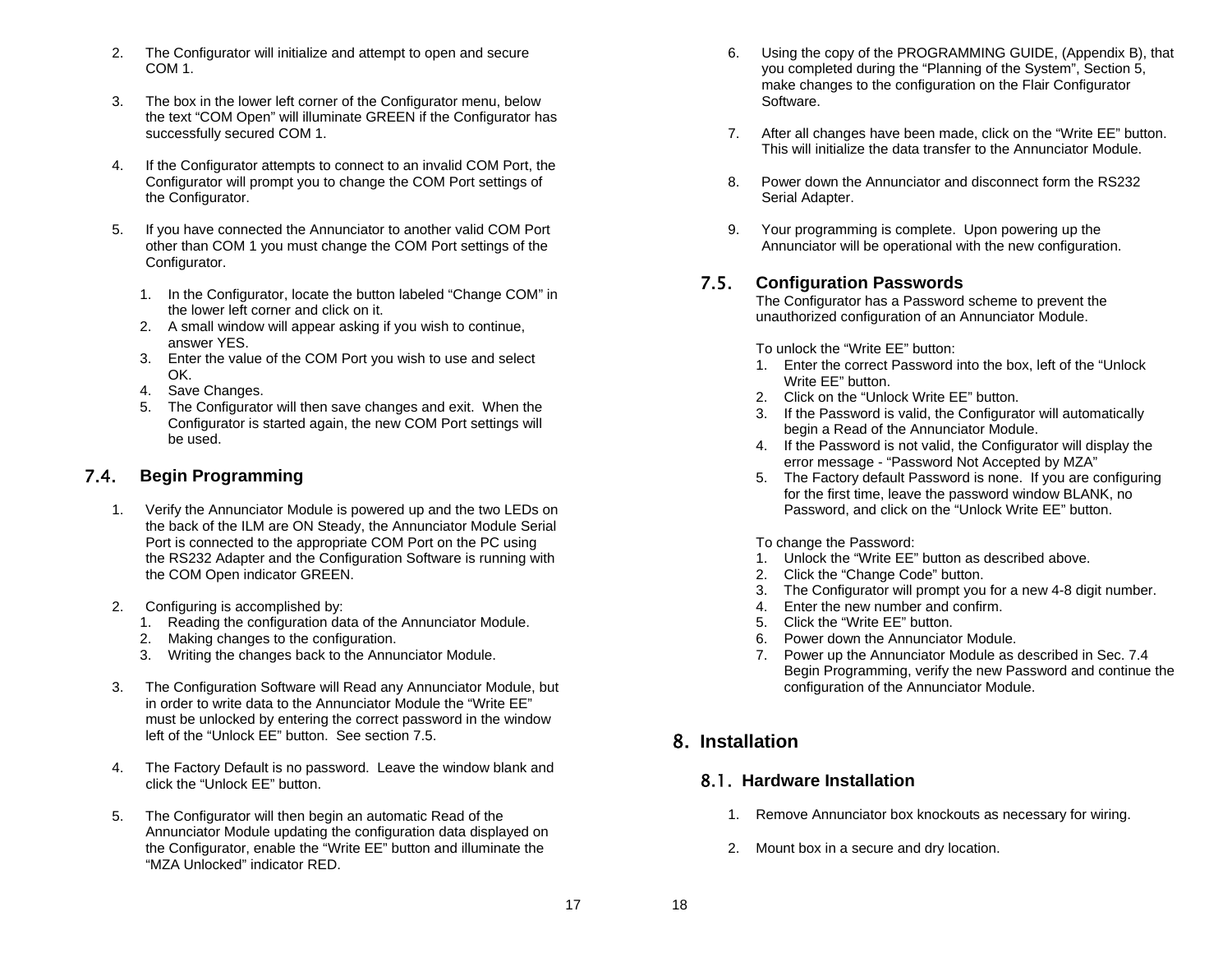- 2. The Configurator will initialize and attempt to open and secure COM 1.
- 3. The box in the lower left corner of the Configurator menu, below the text "COM Open" will illuminate GREEN if the Configurator has successfully secured COM 1.
- 4. If the Configurator attempts to connect to an invalid COM Port, the Configurator will prompt you to change the COM Port settings of the Configurator.
- 5. If you have connected the Annunciator to another valid COM Port other than COM 1 you must change the COM Port settings of the Configurator.
	- 1. In the Configurator, locate the button labeled "Change COM" in the lower left corner and click on it.
	- 2. A small window will appear asking if you wish to continue, answer YES.
	- 3. Enter the value of the COM Port you wish to use and select OK.
	- 4. Save Changes.
	- 5. The Configurator will then save changes and exit. When the Configurator is started again, the new COM Port settings will be used.

### 7.4. **Begin Programming**

- 1. Verify the Annunciator Module is powered up and the two LEDs on the back of the ILM are ON Steady, the Annunciator Module Serial Port is connected to the appropriate COM Port on the PC using the RS232 Adapter and the Configuration Software is running with the COM Open indicator GREEN.
- 2. Configuring is accomplished by:
	- 1. Reading the configuration data of the Annunciator Module.
	- 2. Making changes to the configuration.
	- 3. Writing the changes back to the Annunciator Module.
- 3. The Configuration Software will Read any Annunciator Module, but in order to write data to the Annunciator Module the "Write EE" must be unlocked by entering the correct password in the window left of the "Unlock EE" button. See section 7.5.
- 4. The Factory Default is no password. Leave the window blank and click the "Unlock EE" button.
- 5. The Configurator will then begin an automatic Read of the Annunciator Module updating the configuration data displayed on the Configurator, enable the "Write EE" button and illuminate the "MZA Unlocked" indicator RED.
- 6. Using the copy of the PROGRAMMING GUIDE, (Appendix B), that you completed during the "Planning of the System", Section 5, make changes to the configuration on the Flair Configurator Software.
- 7. After all changes have been made, click on the "Write EE" button. This will initialize the data transfer to the Annunciator Module.
- 8. Power down the Annunciator and disconnect form the RS232 Serial Adapter.
- 9. Your programming is complete. Upon powering up the Annunciator will be operational with the new configuration.

### 7.5. **Configuration Passwords**

The Configurator has a Password scheme to prevent the unauthorized configuration of an Annunciator Module.

To unlock the "Write EE" button:

- 1. Enter the correct Password into the box, left of the "Unlock Write EE" button.
- 2. Click on the "Unlock Write EE" button.
- 3. If the Password is valid, the Configurator will automatically begin a Read of the Annunciator Module.
- 4. If the Password is not valid, the Configurator will display the error message - "Password Not Accepted by MZA"
- 5. The Factory default Password is none. If you are configuring for the first time, leave the password window BLANK, no Password, and click on the "Unlock Write EE" button.

#### To change the Password:

- 1. Unlock the "Write EE" button as described above.
- 2. Click the "Change Code" button.
- 3. The Configurator will prompt you for a new 4-8 digit number.
- 4. Enter the new number and confirm.
- 5. Click the "Write EE" button.
- 6. Power down the Annunciator Module.
- 7. Power up the Annunciator Module as described in Sec. 7.4 Begin Programming, verify the new Password and continue the configuration of the Annunciator Module.

### 8. **Installation**

#### 8.1. **Hardware Installation**

- 1. Remove Annunciator box knockouts as necessary for wiring.
- 2. Mount box in a secure and dry location.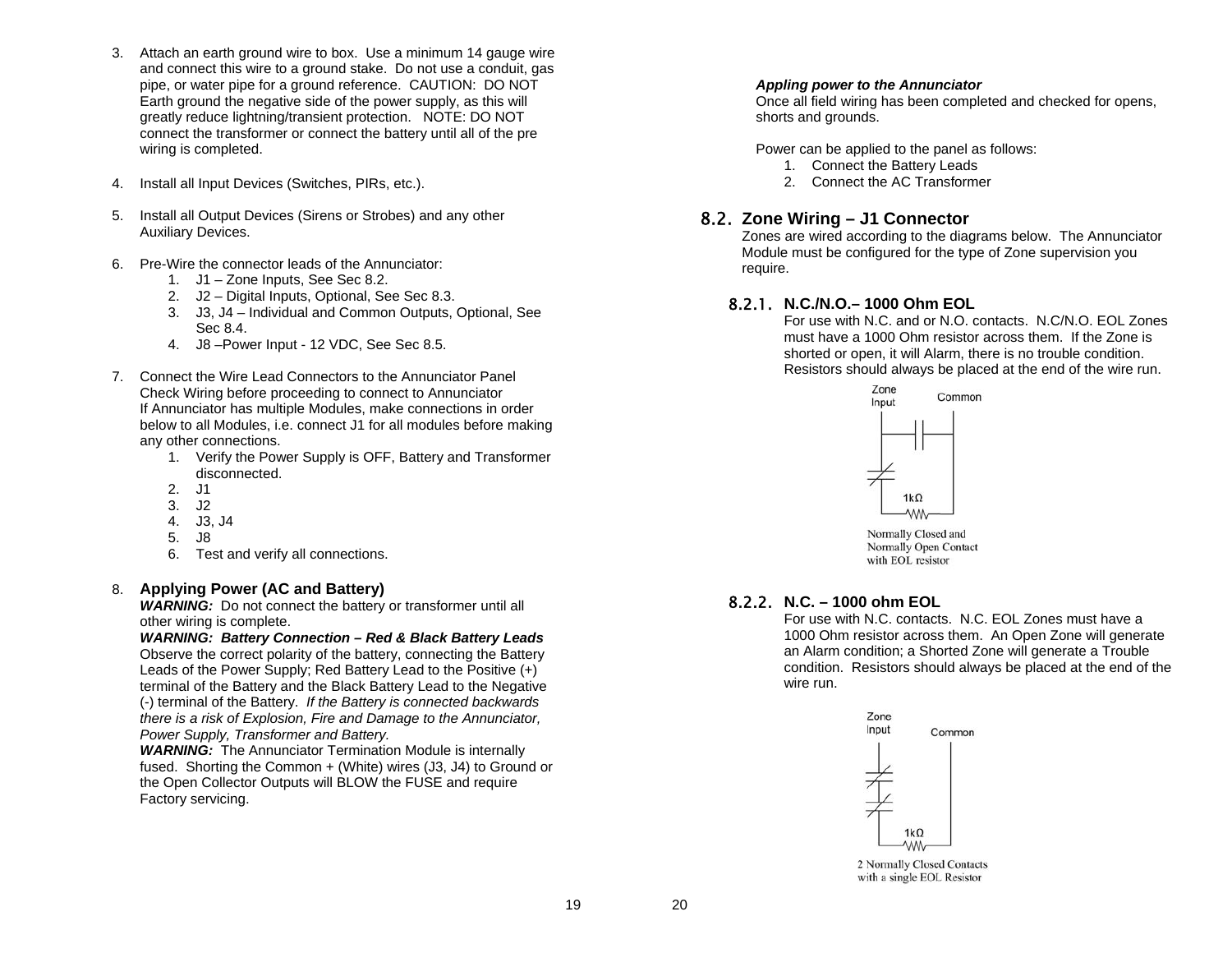- 3. Attach an earth ground wire to box. Use a minimum 14 gauge wire and connect this wire to a ground stake. Do not use a conduit, gas pipe, or water pipe for a ground reference. CAUTION: DO NOT Earth ground the negative side of the power supply, as this will greatly reduce lightning/transient protection. NOTE: DO NOT connect the transformer or connect the battery until all of the pre wiring is completed.
- 4. Install all Input Devices (Switches, PIRs, etc.).
- 5. Install all Output Devices (Sirens or Strobes) and any other Auxiliary Devices.
- 6. Pre-Wire the connector leads of the Annunciator:
	- 1. J1 Zone Inputs, See Sec 8.2.
	- 2. J2 Digital Inputs, Optional, See Sec 8.3.
	- 3. J3, J4 Individual and Common Outputs, Optional, See Sec 8.4.
	- 4. J8 –Power Input 12 VDC, See Sec 8.5.
- 7. Connect the Wire Lead Connectors to the Annunciator Panel Check Wiring before proceeding to connect to Annunciator If Annunciator has multiple Modules, make connections in order below to all Modules, i.e. connect J1 for all modules before making any other connections.
	- 1. Verify the Power Supply is OFF, Battery and Transformer disconnected.
	- 2. J1
	- 3. J2
	- 4. J3, J4
	- 5. J8
	- 6. Test and verify all connections.

#### 8. **Applying Power (AC and Battery)**

**WARNING:** Do not connect the battery or transformer until all other wiring is complete.

*WARNING: Battery Connection – Red & Black Battery Leads*  Observe the correct polarity of the battery, connecting the Battery Leads of the Power Supply; Red Battery Lead to the Positive (+) terminal of the Battery and the Black Battery Lead to the Negative (-) terminal of the Battery. *If the Battery is connected backwards there is a risk of Explosion, Fire and Damage to the Annunciator, Power Supply, Transformer and Battery.* 

**WARNING:** The Annunciator Termination Module is internally fused. Shorting the Common + (White) wires (J3, J4) to Ground or the Open Collector Outputs will BLOW the FUSE and require Factory servicing.

#### *Appling power to the Annunciator*

Once all field wiring has been completed and checked for opens, shorts and grounds.

Power can be applied to the panel as follows:

- 1. Connect the Battery Leads
- 2. Connect the AC Transformer

#### 8.2. **Zone Wiring – J1 Connector**

Zones are wired according to the diagrams below. The Annunciator Module must be configured for the type of Zone supervision you require.

#### 8.2.1. **N.C./N.O.– 1000 Ohm EOL**

For use with N.C. and or N.O. contacts. N.C/N.O. EOL Zones must have a 1000 Ohm resistor across them. If the Zone is shorted or open, it will Alarm, there is no trouble condition. Resistors should always be placed at the end of the wire run.



Normally Closed and Normally Open Contact with EOL resistor

#### 8.2.2. **N.C. – 1000 ohm EOL**

For use with N.C. contacts. N.C. EOL Zones must have a 1000 Ohm resistor across them. An Open Zone will generate an Alarm condition; a Shorted Zone will generate a Trouble condition. Resistors should always be placed at the end of the wire run.



2 Normally Closed Contacts with a single EOL Resistor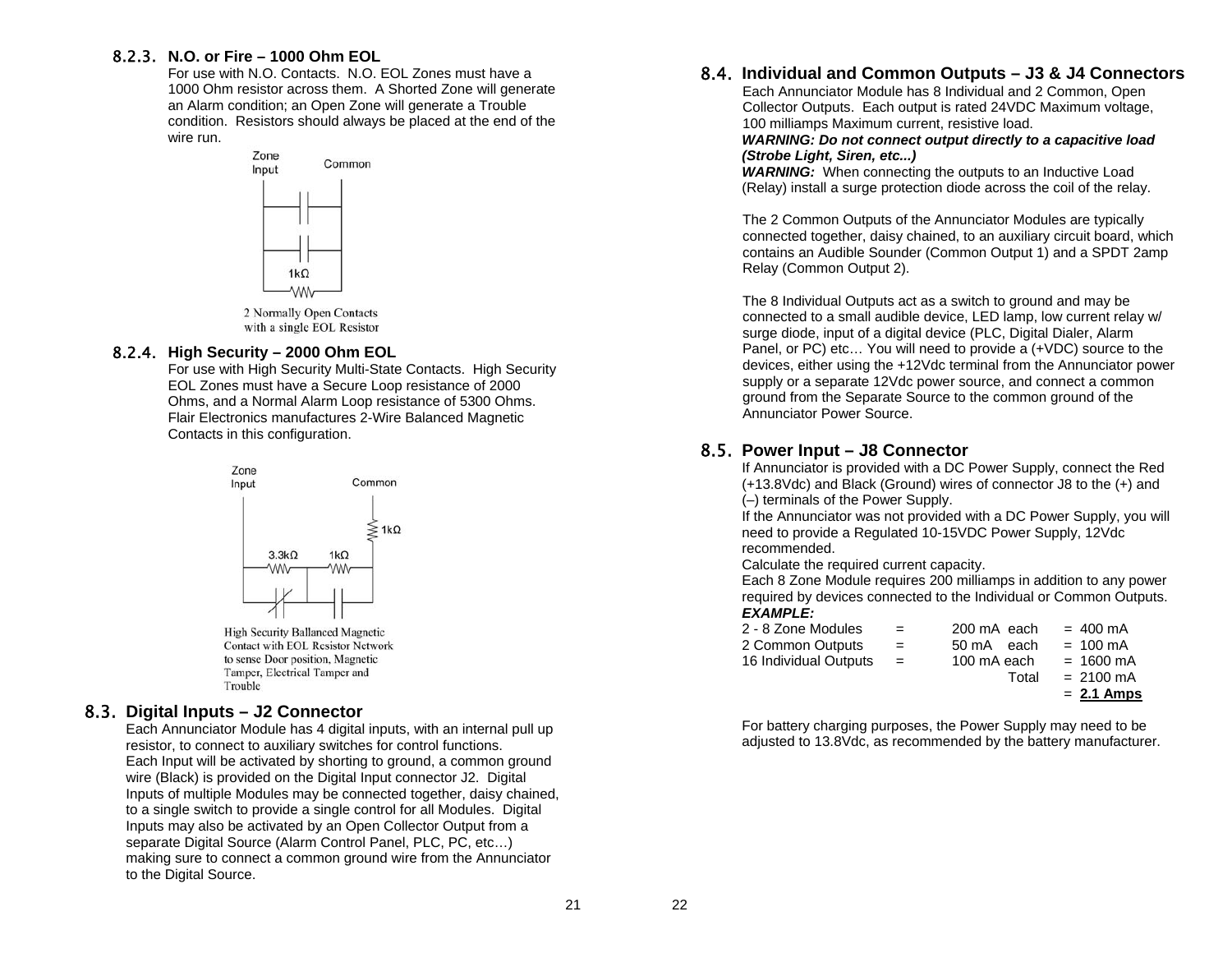#### 8.2.3. **N.O. or Fire – 1000 Ohm EOL**

For use with N.O. Contacts. N.O. EOL Zones must have a 1000 Ohm resistor across them. A Shorted Zone will generate an Alarm condition; an Open Zone will generate a Trouble condition. Resistors should always be placed at the end of the wire run.



2 Normally Open Contacts with a single EOL Resistor

#### 8.2.4. **High Security – 2000 Ohm EOL**

For use with High Security Multi-State Contacts. High Security EOL Zones must have a Secure Loop resistance of 2000 Ohms, and a Normal Alarm Loop resistance of 5300 Ohms. Flair Electronics manufactures 2-Wire Balanced Magnetic Contacts in this configuration.



**High Security Ballanced Magnetic Contact with EOL Resistor Network** to sense Door position, Magnetic Tamper, Electrical Tamper and Trouble

#### 8.3. **Digital Inputs – J2 Connector**

Each Annunciator Module has 4 digital inputs, with an internal pull up resistor, to connect to auxiliary switches for control functions. Each Input will be activated by shorting to ground, a common ground wire (Black) is provided on the Digital Input connector J2. Digital Inputs of multiple Modules may be connected together, daisy chained, to a single switch to provide a single control for all Modules. Digital Inputs may also be activated by an Open Collector Output from a separate Digital Source (Alarm Control Panel, PLC, PC, etc...) making sure to connect a common ground wire from the Annunciator to the Digital Source.

### 8.4. **Individual and Common Outputs – J3 & J4 Connectors**

Each Annunciator Module has 8 Individual and 2 Common, Open Collector Outputs. Each output is rated 24VDC Maximum voltage, 100 milliamps Maximum current, resistive load.

#### *WARNING: Do not connect output directly to a capacitive load (Strobe Light, Siren, etc...)*

**WARNING:** When connecting the outputs to an Inductive Load (Relay) install a surge protection diode across the coil of the relay.

The 2 Common Outputs of the Annunciator Modules are typically connected together, daisy chained, to an auxiliary circuit board, which contains an Audible Sounder (Common Output 1) and a SPDT 2amp Relay (Common Output 2).

The 8 Individual Outputs act as a switch to ground and may be connected to a small audible device, LED lamp, low current relay w/ surge diode, input of a digital device (PLC, Digital Dialer, Alarm Panel, or PC) etc... You will need to provide a (+VDC) source to the devices, either using the +12Vdc terminal from the Annunciator power supply or a separate 12Vdc power source, and connect a common ground from the Separate Source to the common ground of the Annunciator Power Source.

### 8.5. **Power Input – J8 Connector**

If Annunciator is provided with a DC Power Supply, connect the Red (+13.8Vdc) and Black (Ground) wires of connector J8 to the (+) and (–) terminals of the Power Supply.

If the Annunciator was not provided with a DC Power Supply, you will need to provide a Regulated 10-15VDC Power Supply, 12Vdc recommended.

Calculate the required current capacity.

Each 8 Zone Module requires 200 milliamps in addition to any power required by devices connected to the Individual or Common Outputs. *EXAMPLE:*

|                       |     |             | $= 2.1$ Amps        |
|-----------------------|-----|-------------|---------------------|
|                       |     | Total       | $= 2100 \text{ mA}$ |
| 16 Individual Outputs | $=$ | 100 mA each | $= 1600 \text{ mA}$ |
| 2 Common Outputs      | $=$ | 50 mA each  | $= 100 \text{ mA}$  |
| 2 - 8 Zone Modules    | $=$ | 200 mA each | $= 400 \text{ mA}$  |

For battery charging purposes, the Power Supply may need to be adjusted to 13.8Vdc, as recommended by the battery manufacturer.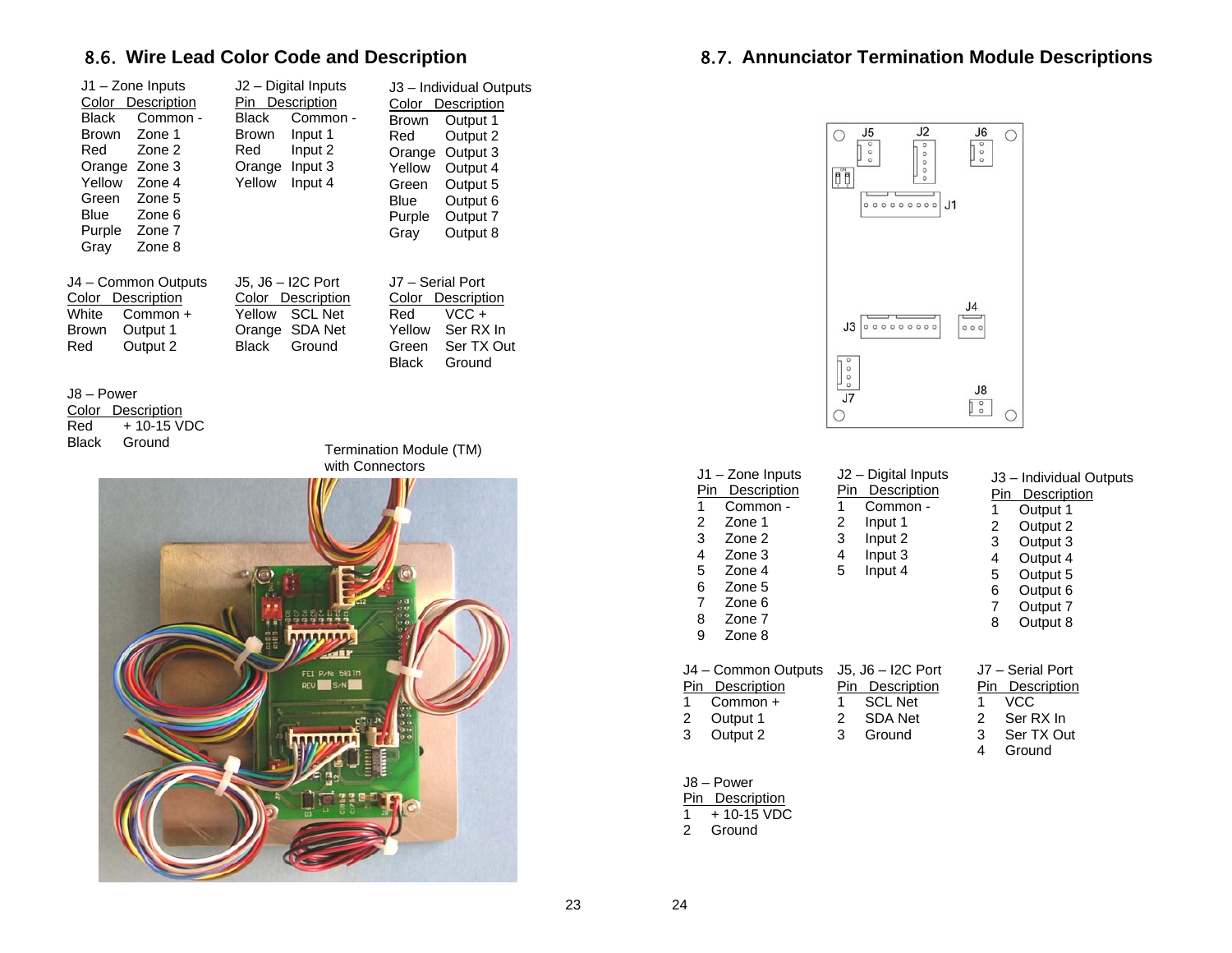### 8.6. **Wire Lead Color Code and Description**

| J1 - Zone Inputs<br>Color Description<br><b>Black</b><br>Common -<br><b>Brown</b><br>Zone 1<br>Red<br>Zone 2<br>Orange Zone 3<br>Yellow<br>Zone 4<br>Green<br>Zone 5<br>Blue<br>Zone 6<br>Purple<br>Zone 7<br>Gray<br>Zone 8 | J2 - Digital Inputs<br>Pin Description<br><b>Black</b><br>Common -<br>Brown<br>Input 1<br>Red<br>Input 2<br>Orange Input 3<br>Yellow<br>Input 4 | J3 - Individual Outputs<br>Color Description<br><b>Brown</b><br>Output 1<br>Red<br>Output 2<br>Output 3<br>Orange<br>Yellow<br>Output 4<br>Green<br>Output 5<br>Blue<br>Output 6<br>Purple<br>Output 7<br>Gray<br>Output 8 |
|------------------------------------------------------------------------------------------------------------------------------------------------------------------------------------------------------------------------------|-------------------------------------------------------------------------------------------------------------------------------------------------|----------------------------------------------------------------------------------------------------------------------------------------------------------------------------------------------------------------------------|
| J4 - Common Outputs<br>Color Description<br>White<br>Common +<br>Output 1<br>Brown<br>Output 2<br>Red                                                                                                                        | J5, J6 - I2C Port<br>Color Description<br>Yellow<br><b>SCL Net</b><br>Orange SDA Net<br><b>Black</b><br>Ground                                  | J7 - Serial Port<br>Color Description<br>Red<br>VCC+<br>Yellow<br>Ser RX In<br>Ser TX Out<br>Green<br>Black<br>Ground                                                                                                      |
| J8 - Power<br>Color<br>Description<br>+ 10-15 VDC<br>Red<br>Black<br>Ground                                                                                                                                                  | with Connectors                                                                                                                                 | Termination Module (TM)                                                                                                                                                                                                    |
|                                                                                                                                                                                                                              | FEI P.N: 581TH<br>REV<br>S/N                                                                                                                    |                                                                                                                                                                                                                            |

### 8.7. **Annunciator Termination Module Descriptions**



| J1 - Zone Inputs<br><b>Description</b><br>Pin<br>1<br>Common -<br>2<br>Zone 1<br>3<br>Zone 2<br>4<br>Zone 3<br>5<br>Zone 4<br>6<br>Zone 5<br>7<br>Zone 6<br>8<br>Zone 7<br>9<br>Zone 8 | J <sub>2</sub> – Digital Inputs<br>Description<br>Pin<br>1<br>Common -<br>2<br>Input 1<br>3<br>Input 2<br>Input 3<br>4<br>Input 4<br>5 | J3 - Individual Outputs<br>Pin Description<br>1<br>Output 1<br>Output 2<br>2<br>3<br>Output 3<br>Output 4<br>4<br>5<br>Output 5<br>6<br>Output 6<br>7<br>Output 7<br>8<br>Output 8 |
|----------------------------------------------------------------------------------------------------------------------------------------------------------------------------------------|----------------------------------------------------------------------------------------------------------------------------------------|------------------------------------------------------------------------------------------------------------------------------------------------------------------------------------|
| J4 - Common Outputs<br>Pin<br>Description<br>1<br>Common +<br>2<br>Output 1<br>3<br>Output 2                                                                                           | $J5, J6 - I2C$ Port<br><b>Description</b><br>Pin<br>1<br><b>SCL Net</b><br><b>SDA Net</b><br>2<br>3<br>Ground                          | J7 - Serial Port<br>Pin<br>Description<br>1<br>VCC<br>Ser RX In<br>2<br>3<br>Ser TX Out<br>4<br>Ground                                                                             |
| J8 - Power                                                                                                                                                                             |                                                                                                                                        |                                                                                                                                                                                    |

**Pin Description** 

1 + 10-15 VDC

2 Ground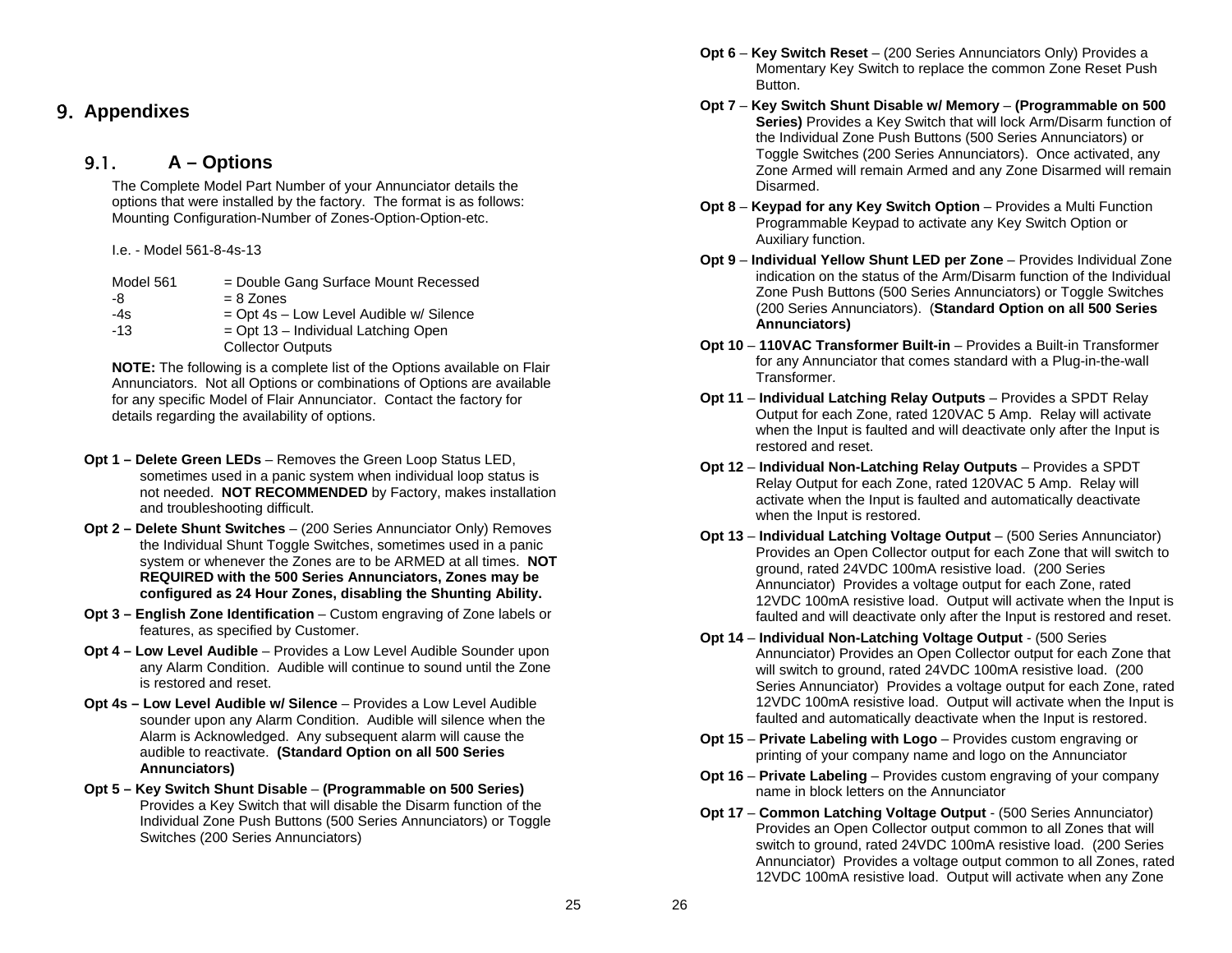### 9. **Appendixes**

#### 9.1.**A – Options**

The Complete Model Part Number of your Annunciator details the options that were installed by the factory. The format is as follows: Mounting Configuration-Number of Zones-Option-Option-etc.

I.e. - Model 561-8-4s-13

| Model 561 | = Double Gang Surface Mount Recessed    |
|-----------|-----------------------------------------|
| -8        | $= 8$ Zones                             |
| $-4s$     | = Opt 4s - Low Level Audible w/ Silence |
| $-13$     | $=$ Opt 13 – Individual Latching Open   |
|           | <b>Collector Outputs</b>                |

**NOTE:** The following is a complete list of the Options available on Flair Annunciators. Not all Options or combinations of Options are available for any specific Model of Flair Annunciator. Contact the factory for details regarding the availability of options.

- **Opt 1 – Delete Green LEDs** Removes the Green Loop Status LED, sometimes used in a panic system when individual loop status is not needed. **NOT RECOMMENDED** by Factory, makes installation and troubleshooting difficult.
- **Opt 2 – Delete Shunt Switches** (200 Series Annunciator Only) Removes the Individual Shunt Toggle Switches, sometimes used in a panic system or whenever the Zones are to be ARMED at all times. **NOT REQUIRED with the 500 Series Annunciators, Zones may be configured as 24 Hour Zones, disabling the Shunting Ability.**
- **Opt 3 – English Zone Identification** Custom engraving of Zone labels or features, as specified by Customer.
- **Opt 4 Low Level Audible** Provides a Low Level Audible Sounder upon any Alarm Condition. Audible will continue to sound until the Zone is restored and reset.
- **Opt 4s – Low Level Audible w/ Silence** Provides a Low Level Audible sounder upon any Alarm Condition. Audible will silence when the Alarm is Acknowledged. Any subsequent alarm will cause the audible to reactivate. **(Standard Option on all 500 Series Annunciators)**
- **Opt 5 Key Switch Shunt Disable (Programmable on 500 Series)** Provides a Key Switch that will disable the Disarm function of the Individual Zone Push Buttons (500 Series Annunciators) or Toggle Switches (200 Series Annunciators)
- **Opt 6 Key Switch Reset** (200 Series Annunciators Only) Provides a Momentary Key Switch to replace the common Zone Reset Push Button.
- **Opt 7 Key Switch Shunt Disable w/ Memory (Programmable on 500 Series)** Provides a Key Switch that will lock Arm/Disarm function of the Individual Zone Push Buttons (500 Series Annunciators) or Toggle Switches (200 Series Annunciators). Once activated, any Zone Armed will remain Armed and any Zone Disarmed will remain Disarmed.
- **Opt 8 Keypad for any Key Switch Option** Provides a Multi Function Programmable Keypad to activate any Key Switch Option or Auxiliary function.
- **Opt 9 Individual Yellow Shunt LED per Zone** Provides Individual Zone indication on the status of the Arm/Disarm function of the Individual Zone Push Buttons (500 Series Annunciators) or Toggle Switches (200 Series Annunciators). (**Standard Option on all 500 Series Annunciators)**
- **Opt 10 110VAC Transformer Built-in**  Provides a Built-in Transformer for any Annunciator that comes standard with a Plug-in-the-wall Transformer.
- **Opt 11 Individual Latching Relay Outputs** Provides a SPDT Relay Output for each Zone, rated 120VAC 5 Amp. Relay will activate when the Input is faulted and will deactivate only after the Input is restored and reset.
- **Opt 12 Individual Non-Latching Relay Outputs** Provides a SPDT Relay Output for each Zone, rated 120VAC 5 Amp. Relay will activate when the Input is faulted and automatically deactivate when the Input is restored.
- **Opt 13 Individual Latching Voltage Output** (500 Series Annunciator) Provides an Open Collector output for each Zone that will switch to ground, rated 24VDC 100mA resistive load. (200 Series Annunciator) Provides a voltage output for each Zone, rated 12VDC 100mA resistive load. Output will activate when the Input is faulted and will deactivate only after the Input is restored and reset.
- **Opt 14 Individual Non-Latching Voltage Output** (500 Series Annunciator) Provides an Open Collector output for each Zone that will switch to ground, rated 24VDC 100mA resistive load. (200 Series Annunciator) Provides a voltage output for each Zone, rated 12VDC 100mA resistive load. Output will activate when the Input is faulted and automatically deactivate when the Input is restored.
- **Opt 15 Private Labeling with Logo** Provides custom engraving or printing of your company name and logo on the Annunciator
- **Opt 16 Private Labeling** Provides custom engraving of your company name in block letters on the Annunciator
- **Opt 17 Common Latching Voltage Output** (500 Series Annunciator) Provides an Open Collector output common to all Zones that will switch to ground, rated 24VDC 100mA resistive load. (200 Series Annunciator) Provides a voltage output common to all Zones, rated 12VDC 100mA resistive load. Output will activate when any Zone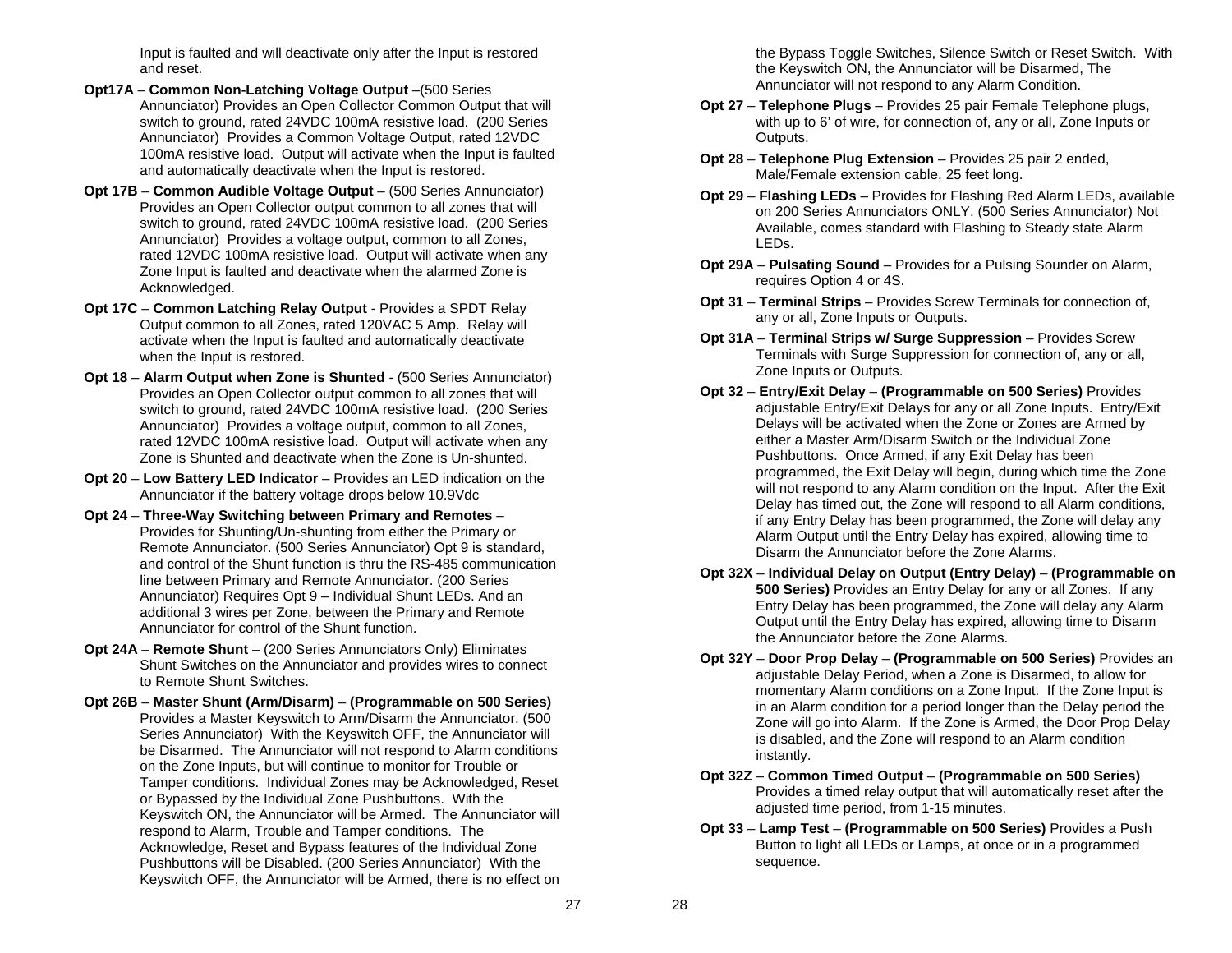Input is faulted and will deactivate only after the Input is restored and reset.

- **Opt17A Common Non-Latching Voltage Output** –(500 Series Annunciator) Provides an Open Collector Common Output that will switch to ground, rated 24VDC 100mA resistive load. (200 Series Annunciator) Provides a Common Voltage Output, rated 12VDC 100mA resistive load. Output will activate when the Input is faulted and automatically deactivate when the Input is restored.
- **Opt 17B Common Audible Voltage Output** (500 Series Annunciator) Provides an Open Collector output common to all zones that will switch to ground, rated 24VDC 100mA resistive load. (200 Series Annunciator) Provides a voltage output, common to all Zones, rated 12VDC 100mA resistive load. Output will activate when any Zone Input is faulted and deactivate when the alarmed Zone is Acknowledged.
- **Opt 17C Common Latching Relay Output** Provides a SPDT Relay Output common to all Zones, rated 120VAC 5 Amp. Relay will activate when the Input is faulted and automatically deactivate when the Input is restored.
- **Opt 18 Alarm Output when Zone is Shunted** (500 Series Annunciator) Provides an Open Collector output common to all zones that will switch to ground, rated 24VDC 100mA resistive load. (200 Series Annunciator) Provides a voltage output, common to all Zones, rated 12VDC 100mA resistive load. Output will activate when any Zone is Shunted and deactivate when the Zone is Un-shunted.
- **Opt 20 Low Battery LED Indicator** Provides an LED indication on the Annunciator if the battery voltage drops below 10.9Vdc
- **Opt 24 Three-Way Switching between Primary and Remotes** Provides for Shunting/Un-shunting from either the Primary or Remote Annunciator. (500 Series Annunciator) Opt 9 is standard, and control of the Shunt function is thru the RS-485 communication line between Primary and Remote Annunciator. (200 Series Annunciator) Requires Opt 9 – Individual Shunt LEDs. And an additional 3 wires per Zone, between the Primary and Remote Annunciator for control of the Shunt function.
- **Opt 24A Remote Shunt** (200 Series Annunciators Only) Eliminates Shunt Switches on the Annunciator and provides wires to connect to Remote Shunt Switches.
- **Opt 26B Master Shunt (Arm/Disarm) (Programmable on 500 Series)** Provides a Master Keyswitch to Arm/Disarm the Annunciator. (500 Series Annunciator) With the Keyswitch OFF, the Annunciator will be Disarmed. The Annunciator will not respond to Alarm conditions on the Zone Inputs, but will continue to monitor for Trouble or Tamper conditions. Individual Zones may be Acknowledged, Reset or Bypassed by the Individual Zone Pushbuttons. With the Keyswitch ON, the Annunciator will be Armed. The Annunciator will respond to Alarm, Trouble and Tamper conditions. The Acknowledge, Reset and Bypass features of the Individual Zone Pushbuttons will be Disabled. (200 Series Annunciator) With the Keyswitch OFF, the Annunciator will be Armed, there is no effect on

the Bypass Toggle Switches, Silence Switch or Reset Switch. With the Keyswitch ON, the Annunciator will be Disarmed, The Annunciator will not respond to any Alarm Condition.

- **Opt 27 Telephone Plugs** Provides 25 pair Female Telephone plugs, with up to 6' of wire, for connection of, any or all, Zone Inputs or Outputs.
- **Opt 28 Telephone Plug Extension** Provides 25 pair 2 ended, Male/Female extension cable, 25 feet long.
- **Opt 29 Flashing LEDs** Provides for Flashing Red Alarm LEDs, available on 200 Series Annunciators ONLY. (500 Series Annunciator) Not Available, comes standard with Flashing to Steady state Alarm LEDs.
- **Opt 29A Pulsating Sound** Provides for a Pulsing Sounder on Alarm, requires Option 4 or 4S.
- **Opt 31 Terminal Strips** Provides Screw Terminals for connection of, any or all, Zone Inputs or Outputs.
- **Opt 31A Terminal Strips w/ Surge Suppression** Provides Screw Terminals with Surge Suppression for connection of, any or all, Zone Inputs or Outputs.
- **Opt 32 Entry/Exit Delay (Programmable on 500 Series)** Provides adjustable Entry/Exit Delays for any or all Zone Inputs. Entry/Exit Delays will be activated when the Zone or Zones are Armed by either a Master Arm/Disarm Switch or the Individual Zone Pushbuttons. Once Armed, if any Exit Delay has been programmed, the Exit Delay will begin, during which time the Zone will not respond to any Alarm condition on the Input. After the Exit Delay has timed out, the Zone will respond to all Alarm conditions, if any Entry Delay has been programmed, the Zone will delay any Alarm Output until the Entry Delay has expired, allowing time to Disarm the Annunciator before the Zone Alarms.
- **Opt 32X Individual Delay on Output (Entry Delay) (Programmable on 500 Series)** Provides an Entry Delay for any or all Zones. If any Entry Delay has been programmed, the Zone will delay any Alarm Output until the Entry Delay has expired, allowing time to Disarm the Annunciator before the Zone Alarms.
- **Opt 32Y Door Prop Delay (Programmable on 500 Series)** Provides an adjustable Delay Period, when a Zone is Disarmed, to allow for momentary Alarm conditions on a Zone Input. If the Zone Input is in an Alarm condition for a period longer than the Delay period the Zone will go into Alarm. If the Zone is Armed, the Door Prop Delay is disabled, and the Zone will respond to an Alarm condition instantly.
- **Opt 32Z Common Timed Output (Programmable on 500 Series)** Provides a timed relay output that will automatically reset after the adjusted time period, from 1-15 minutes.
- **Opt 33 Lamp Test (Programmable on 500 Series)** Provides a Push Button to light all LEDs or Lamps, at once or in a programmed sequence.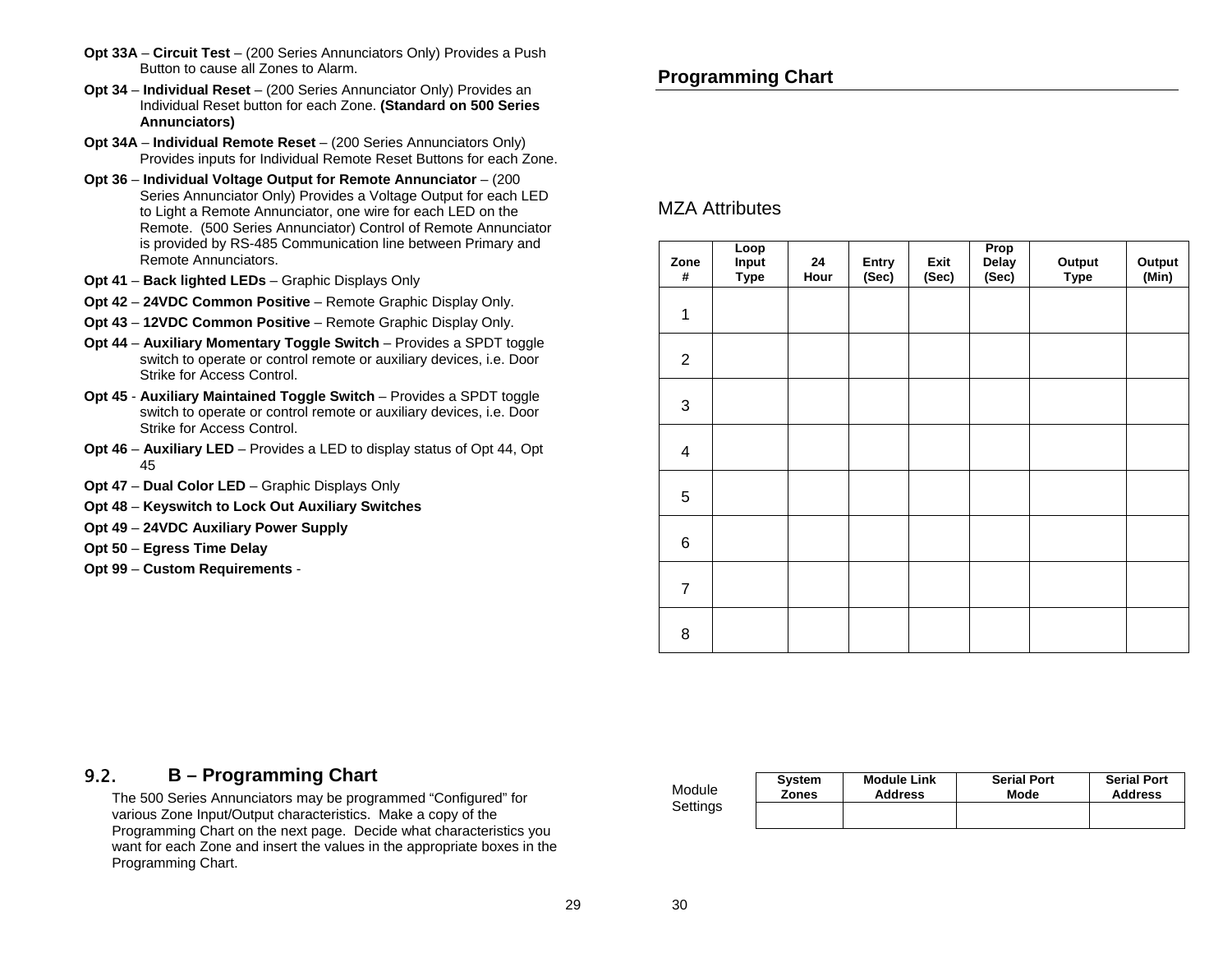- **Opt 33A Circuit Test** (200 Series Annunciators Only) Provides a Push Button to cause all Zones to Alarm.
- **Opt 34 Individual Reset** (200 Series Annunciator Only) Provides an Individual Reset button for each Zone. **(Standard on 500 Series Annunciators)**
- **Opt 34A Individual Remote Reset** (200 Series Annunciators Only) Provides inputs for Individual Remote Reset Buttons for each Zone.
- **Opt 36 Individual Voltage Output for Remote Annunciator** (200 Series Annunciator Only) Provides a Voltage Output for each LED to Light a Remote Annunciator, one wire for each LED on the Remote. (500 Series Annunciator) Control of Remote Annunciator is provided by RS-485 Communication line between Primary and Remote Annunciators.
- **Opt 41 Back lighted LEDs** Graphic Displays Only
- **Opt 42 24VDC Common Positive** Remote Graphic Display Only.
- **Opt 43 12VDC Common Positive** Remote Graphic Display Only.
- **Opt 44 Auxiliary Momentary Toggle Switch** Provides a SPDT toggle switch to operate or control remote or auxiliary devices, i.e. Door Strike for Access Control.
- **Opt 45 Auxiliary Maintained Toggle Switch** Provides a SPDT toggle switch to operate or control remote or auxiliary devices, i.e. Door Strike for Access Control.
- **Opt 46 Auxiliary LED** Provides a LED to display status of Opt 44, Opt 45
- **Opt 47 Dual Color LED** Graphic Displays Only
- **Opt 48 Keyswitch to Lock Out Auxiliary Switches**
- **Opt 49 24VDC Auxiliary Power Supply**
- **Opt 50 Egress Time Delay**
- **Opt 99 Custom Requirements** -

### **Programming Chart**

#### MZA Attributes

| Zone<br>#      | Loop<br>Input<br><b>Type</b> | 24<br>Hour | Entry<br>(Sec) | Exit<br>(Sec) | Prop<br>Delay<br>(Sec) | Output<br>Type | Output<br>$(\overline{\mathsf{Min}})$ |
|----------------|------------------------------|------------|----------------|---------------|------------------------|----------------|---------------------------------------|
| $\mathbf 1$    |                              |            |                |               |                        |                |                                       |
| $\overline{2}$ |                              |            |                |               |                        |                |                                       |
| 3              |                              |            |                |               |                        |                |                                       |
| 4              |                              |            |                |               |                        |                |                                       |
| 5              |                              |            |                |               |                        |                |                                       |
| 6              |                              |            |                |               |                        |                |                                       |
| $\overline{7}$ |                              |            |                |               |                        |                |                                       |
| 8              |                              |            |                |               |                        |                |                                       |

#### 9.2.**B – Programming Chart**

The 500 Series Annunciators may be programmed "Configured" for various Zone Input/Output characteristics. Make a copy of the Programming Chart on the next page. Decide what characteristics you want for each Zone and insert the values in the appropriate boxes in the Programming Chart.

Module **Settings** 

| <b>System</b> | <b>Module Link</b> | <b>Serial Port</b> | <b>Serial Port</b> |  |  |
|---------------|--------------------|--------------------|--------------------|--|--|
| <b>Zones</b>  | <b>Address</b>     | Mode               | <b>Address</b>     |  |  |
|               |                    |                    |                    |  |  |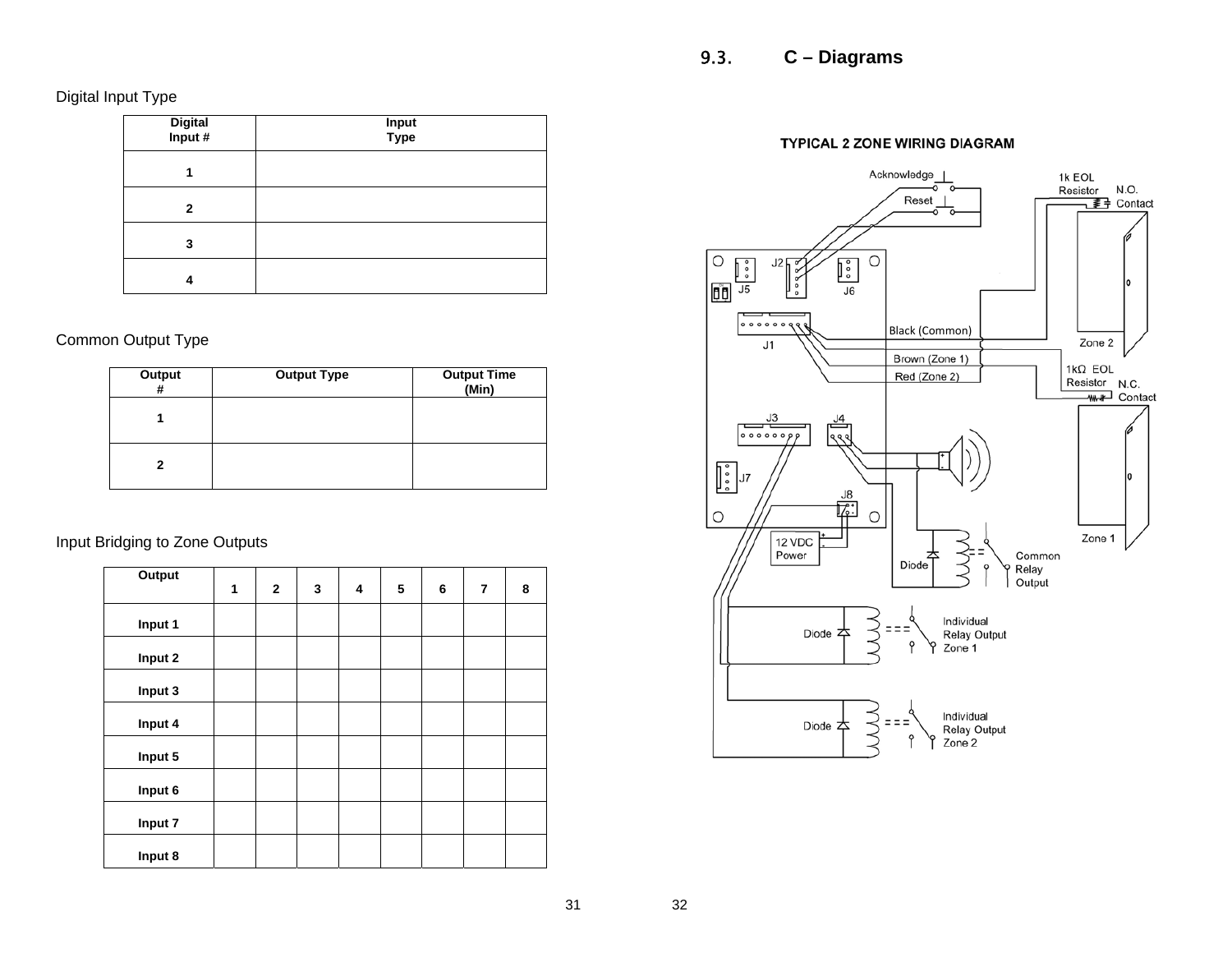Digital Input Type

| Digital<br>Input # | <b>Input</b><br>Type |
|--------------------|----------------------|
|                    |                      |
| 2                  |                      |
| 3                  |                      |
|                    |                      |

Common Output Type

| Output<br># | <b>Output Type</b> | <b>Output Time</b><br>(Min) |
|-------------|--------------------|-----------------------------|
|             |                    |                             |
| 2           |                    |                             |

Input Bridging to Zone Outputs

| <b>Output</b> | 1 | $\mathbf{2}$ | 3 | 4 | 5 | 6 | $\overline{7}$ | 8 |
|---------------|---|--------------|---|---|---|---|----------------|---|
|               |   |              |   |   |   |   |                |   |
| Input 1       |   |              |   |   |   |   |                |   |
| Input 2       |   |              |   |   |   |   |                |   |
| Input 3       |   |              |   |   |   |   |                |   |
| Input 4       |   |              |   |   |   |   |                |   |
| Input 5       |   |              |   |   |   |   |                |   |
| Input 6       |   |              |   |   |   |   |                |   |
| Input 7       |   |              |   |   |   |   |                |   |
| Input 8       |   |              |   |   |   |   |                |   |

#### TYPICAL 2 ZONE WIRING DIAGRAM



32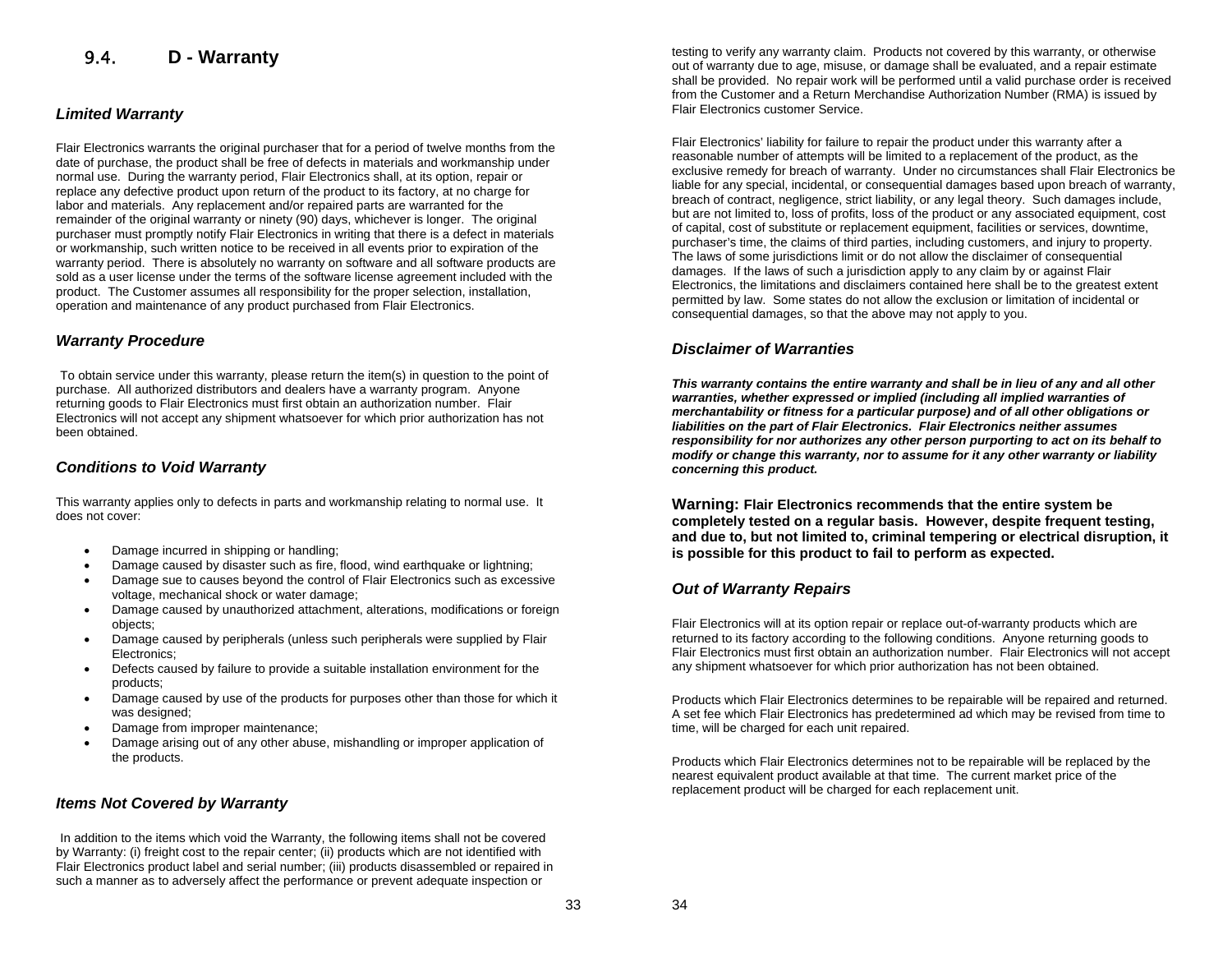#### 9.4.**D - Warranty**

#### *Limited Warranty*

Flair Electronics warrants the original purchaser that for a period of twelve months from the date of purchase, the product shall be free of defects in materials and workmanship under normal use. During the warranty period, Flair Electronics shall, at its option, repair or replace any defective product upon return of the product to its factory, at no charge for labor and materials. Any replacement and/or repaired parts are warranted for the remainder of the original warranty or ninety (90) days, whichever is longer. The original purchaser must promptly notify Flair Electronics in writing that there is a defect in materials or workmanship, such written notice to be received in all events prior to expiration of the warranty period. There is absolutely no warranty on software and all software products are sold as a user license under the terms of the software license agreement included with the product. The Customer assumes all responsibility for the proper selection, installation, operation and maintenance of any product purchased from Flair Electronics.

#### *Warranty Procedure*

To obtain service under this warranty, please return the item(s) in question to the point of purchase. All authorized distributors and dealers have a warranty program. Anyone returning goods to Flair Electronics must first obtain an authorization number. Flair Electronics will not accept any shipment whatsoever for which prior authorization has not been obtained.

#### *Conditions to Void Warranty*

This warranty applies only to defects in parts and workmanship relating to normal use. It does not cover:

- Damage incurred in shipping or handling;
- Damage caused by disaster such as fire, flood, wind earthquake or lightning;
- Damage sue to causes beyond the control of Flair Electronics such as excessive voltage, mechanical shock or water damage;
- Damage caused by unauthorized attachment, alterations, modifications or foreign objects;
- Damage caused by peripherals (unless such peripherals were supplied by Flair Electronics;
- Defects caused by failure to provide a suitable installation environment for the products;
- Damage caused by use of the products for purposes other than those for which it was designed:
- Damage from improper maintenance;
- Damage arising out of any other abuse, mishandling or improper application of the products.

#### *Items Not Covered by Warranty*

In addition to the items which void the Warranty, the following items shall not be covered by Warranty: (i) freight cost to the repair center; (ii) products which are not identified with Flair Electronics product label and serial number; (iii) products disassembled or repaired in such a manner as to adversely affect the performance or prevent adequate inspection or

testing to verify any warranty claim. Products not covered by this warranty, or otherwise out of warranty due to age, misuse, or damage shall be evaluated, and a repair estimate shall be provided. No repair work will be performed until a valid purchase order is received from the Customer and a Return Merchandise Authorization Number (RMA) is issued by Flair Electronics customer Service.

Flair Electronics' liability for failure to repair the product under this warranty after a reasonable number of attempts will be limited to a replacement of the product, as the exclusive remedy for breach of warranty. Under no circumstances shall Flair Electronics be liable for any special, incidental, or consequential damages based upon breach of warranty, breach of contract, negligence, strict liability, or any legal theory. Such damages include, but are not limited to, loss of profits, loss of the product or any associated equipment, cost of capital, cost of substitute or replacement equipment, facilities or services, downtime, purchaser's time, the claims of third parties, including customers, and injury to property. The laws of some jurisdictions limit or do not allow the disclaimer of consequential damages. If the laws of such a jurisdiction apply to any claim by or against Flair Electronics, the limitations and disclaimers contained here shall be to the greatest extent permitted by law. Some states do not allow the exclusion or limitation of incidental or consequential damages, so that the above may not apply to you.

#### *Disclaimer of Warranties*

*This warranty contains the entire warranty and shall be in lieu of any and all other warranties, whether expressed or implied (including all implied warranties of merchantability or fitness for a particular purpose) and of all other obligations or liabilities on the part of Flair Electronics. Flair Electronics neither assumes responsibility for nor authorizes any other person purporting to act on its behalf to modify or change this warranty, nor to assume for it any other warranty or liability concerning this product.* 

**Warning: Flair Electronics recommends that the entire system be completely tested on a regular basis. However, despite frequent testing, and due to, but not limited to, criminal tempering or electrical disruption, it is possible for this product to fail to perform as expected.**

#### *Out of Warranty Repairs*

Flair Electronics will at its option repair or replace out-of-warranty products which are returned to its factory according to the following conditions. Anyone returning goods to Flair Electronics must first obtain an authorization number. Flair Electronics will not accept any shipment whatsoever for which prior authorization has not been obtained.

Products which Flair Electronics determines to be repairable will be repaired and returned. A set fee which Flair Electronics has predetermined ad which may be revised from time to time, will be charged for each unit repaired.

Products which Flair Electronics determines not to be repairable will be replaced by the nearest equivalent product available at that time. The current market price of the replacement product will be charged for each replacement unit.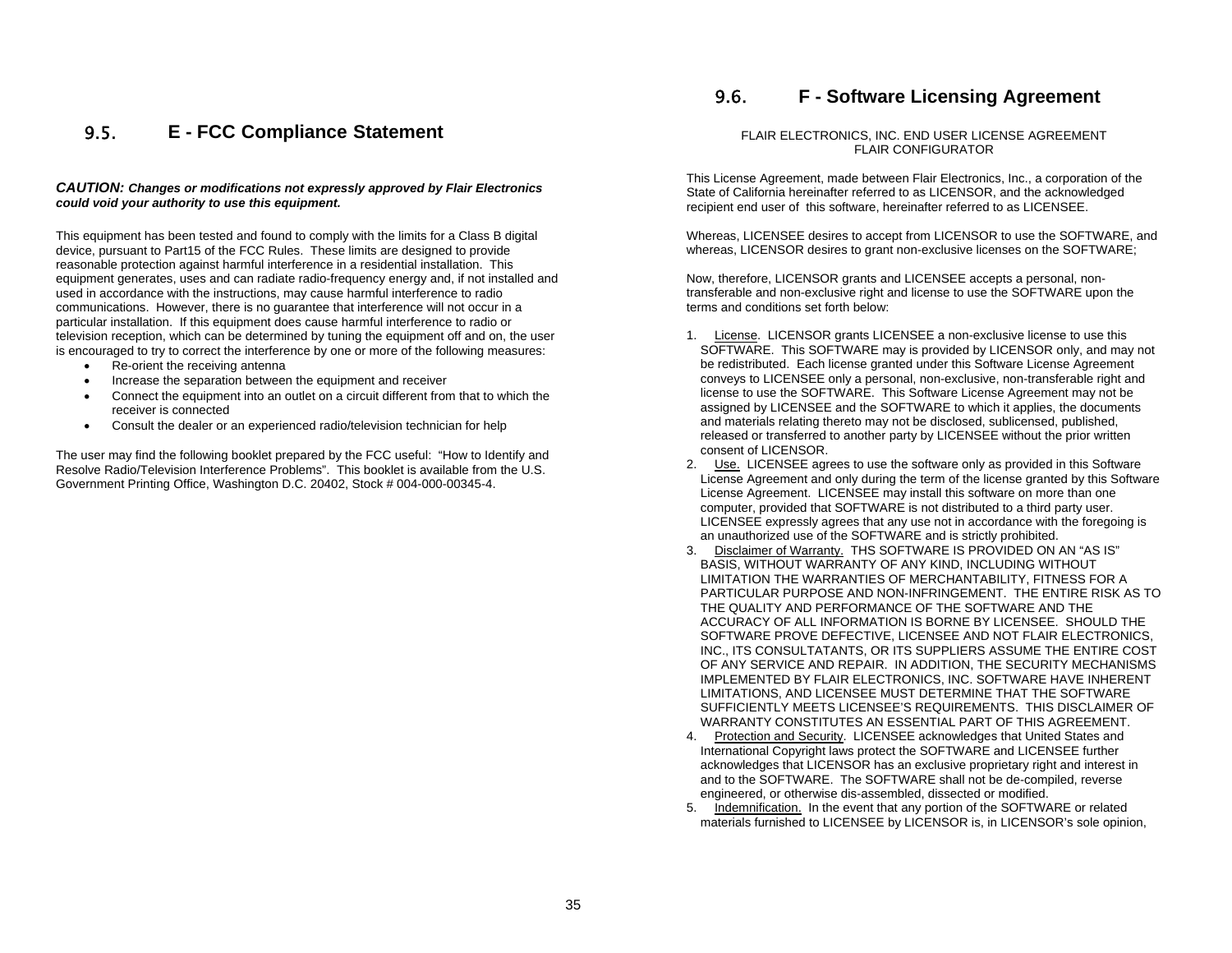#### 9.5.**E - FCC Compliance Statement**

#### *CAUTION: Changes or modifications not expressly approved by Flair Electronics could void your authority to use this equipment.*

This equipment has been tested and found to comply with the limits for a Class B digital device, pursuant to Part15 of the FCC Rules. These limits are designed to provide reasonable protection against harmful interference in a residential installation. This equipment generates, uses and can radiate radio-frequency energy and, if not installed and used in accordance with the instructions, may cause harmful interference to radio communications. However, there is no guarantee that interference will not occur in a particular installation. If this equipment does cause harmful interference to radio or television reception, which can be determined by tuning the equipment off and on, the user is encouraged to try to correct the interference by one or more of the following measures:

- Re-orient the receiving antenna
- Increase the separation between the equipment and receiver
- Connect the equipment into an outlet on a circuit different from that to which the receiver is connected
- Consult the dealer or an experienced radio/television technician for help

The user may find the following booklet prepared by the FCC useful: "How to Identify and Resolve Radio/Television Interference Problems". This booklet is available from the U.S. Government Printing Office, Washington D.C. 20402, Stock # 004-000-00345-4.

#### 9.6.**F - Software Licensing Agreement**

#### FLAIR ELECTRONICS, INC. END USER LICENSE AGREEMENT FLAIR CONFIGURATOR

This License Agreement, made between Flair Electronics, Inc., a corporation of the State of California hereinafter referred to as LICENSOR, and the acknowledged recipient end user of this software, hereinafter referred to as LICENSEE.

Whereas, LICENSEE desires to accept from LICENSOR to use the SOFTWARE, and whereas, LICENSOR desires to grant non-exclusive licenses on the SOFTWARE;

Now, therefore, LICENSOR grants and LICENSEE accepts a personal, nontransferable and non-exclusive right and license to use the SOFTWARE upon the terms and conditions set forth below:

- 1. License. LICENSOR grants LICENSEE a non-exclusive license to use this SOFTWARE. This SOFTWARE may is provided by LICENSOR only, and may not be redistributed. Each license granted under this Software License Agreement conveys to LICENSEE only a personal, non-exclusive, non-transferable right and license to use the SOFTWARE. This Software License Agreement may not be assigned by LICENSEE and the SOFTWARE to which it applies, the documents and materials relating thereto may not be disclosed, sublicensed, published, released or transferred to another party by LICENSEE without the prior written consent of LICENSOR.
- 2. Use. LICENSEE agrees to use the software only as provided in this Software License Agreement and only during the term of the license granted by this Software License Agreement. LICENSEE may install this software on more than one computer, provided that SOFTWARE is not distributed to a third party user. LICENSEE expressly agrees that any use not in accordance with the foregoing is an unauthorized use of the SOFTWARE and is strictly prohibited.
- 3. Disclaimer of Warranty. THS SOFTWARE IS PROVIDED ON AN "AS IS" BASIS, WITHOUT WARRANTY OF ANY KIND, INCLUDING WITHOUT LIMITATION THE WARRANTIES OF MERCHANTABILITY, FITNESS FOR A PARTICULAR PURPOSE AND NON-INFRINGEMENT. THE ENTIRE RISK AS TO THE QUALITY AND PERFORMANCE OF THE SOFTWARE AND THE ACCURACY OF ALL INFORMATION IS BORNE BY LICENSEE. SHOULD THE SOFTWARE PROVE DEFECTIVE, LICENSEE AND NOT FLAIR ELECTRONICS, INC., ITS CONSULTATANTS, OR ITS SUPPLIERS ASSUME THE ENTIRE COST OF ANY SERVICE AND REPAIR. IN ADDITION, THE SECURITY MECHANISMS IMPLEMENTED BY FLAIR ELECTRONICS, INC. SOFTWARE HAVE INHERENT LIMITATIONS, AND LICENSEE MUST DETERMINE THAT THE SOFTWARE SUFFICIENTLY MEETS LICENSEE'S REQUIREMENTS. THIS DISCLAIMER OF WARRANTY CONSTITUTES AN ESSENTIAL PART OF THIS AGREEMENT.
- 4. Protection and Security. LICENSEE acknowledges that United States and International Copyright laws protect the SOFTWARE and LICENSEE further acknowledges that LICENSOR has an exclusive proprietary right and interest in and to the SOFTWARE. The SOFTWARE shall not be de-compiled, reverse engineered, or otherwise dis-assembled, dissected or modified.
- 5. Indemnification. In the event that any portion of the SOFTWARE or related materials furnished to LICENSEE by LICENSOR is, in LICENSOR's sole opinion,